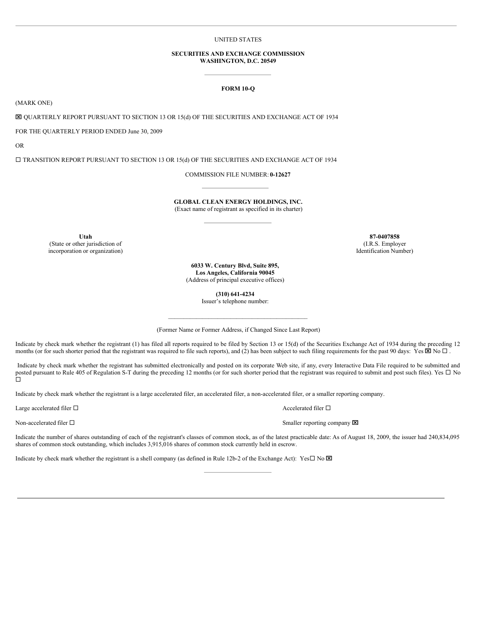### UNITED STATES

#### **SECURITIES AND EXCHANGE COMMISSION WASHINGTON, D.C. 20549**

#### **FORM 10-Q**

(MARK ONE)

x QUARTERLY REPORT PURSUANT TO SECTION 13 OR 15(d) OF THE SECURITIES AND EXCHANGE ACT OF 1934

FOR THE QUARTERLY PERIOD ENDED June 30, 2009

OR

¨ TRANSITION REPORT PURSUANT TO SECTION 13 OR 15(d) OF THE SECURITIES AND EXCHANGE ACT OF 1934

COMMISSION FILE NUMBER: **0-12627**

**GLOBAL CLEAN ENERGY HOLDINGS, INC.** (Exact name of registrant as specified in its charter)

(State or other jurisdiction of incorporation or organization)

**Utah 87-0407858** (I.R.S. Employer Identification Number)

> **6033 W. Century Blvd, Suite 895, Los Angeles, California 90045** (Address of principal executive offices)

> > **(310) 641-4234**

Issuer's telephone number:

\_\_\_\_\_\_\_\_\_\_\_\_\_\_\_\_\_\_\_\_\_\_\_\_\_\_\_\_\_\_\_\_\_\_\_\_\_\_\_\_\_\_\_\_\_ (Former Name or Former Address, if Changed Since Last Report)

Indicate by check mark whether the registrant (1) has filed all reports required to be filed by Section 13 or 15(d) of the Securities Exchange Act of 1934 during the preceding 12 months (or for such shorter period that the registrant was required to file such reports), and (2) has been subject to such filing requirements for the past 90 days: Yes  $\overline{\boxtimes}$  No  $\Box$ .

Indicate by check mark whether the registrant has submitted electronically and posted on its corporate Web site, if any, every Interactive Data File required to be submitted and posted pursuant to Rule 405 of Regulation S-T during the preceding 12 months (or for such shorter period that the registrant was required to submit and post such files). Yes  $\Box$  No Ò.

Indicate by check mark whether the registrant is a large accelerated filer, an accelerated filer, a non-accelerated filer, or a smaller reporting company.

Large accelerated filer  $\square$  Accelerated filer  $\square$ 

Non-accelerated filer □ Smaller reporting company ⊠

Indicate the number of shares outstanding of each of the registrant's classes of common stock, as of the latest practicable date: As of August 18, 2009, the issuer had 240,834,095 shares of common stock outstanding, which includes 3,915,016 shares of common stock currently held in escrow.

Indicate by check mark whether the registrant is a shell company (as defined in Rule 12b-2 of the Exchange Act): Yes $\Box$  No  $\boxtimes$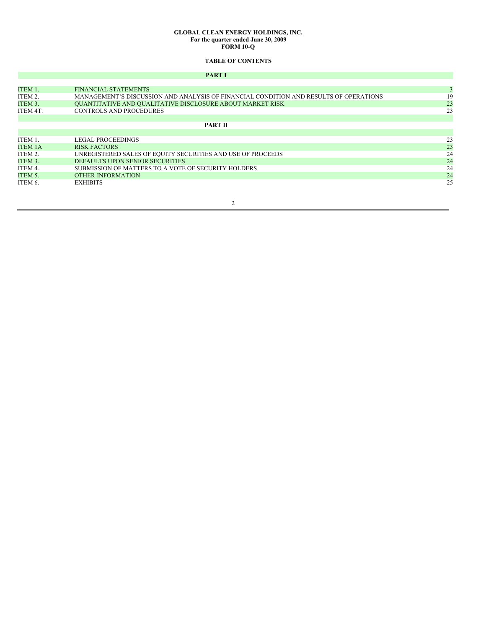#### **GLOBAL CLEAN ENERGY HOLDINGS, INC. For the quarter ended June 30, 2009 FORM 10-Q**

# **TABLE OF CONTENTS**

# **PART I**

| ITEM 1.        | <b>FINANCIAL STATEMENTS</b>                                                           | 3  |
|----------------|---------------------------------------------------------------------------------------|----|
| ITEM 2.        | MANAGEMENT'S DISCUSSION AND ANALYSIS OF FINANCIAL CONDITION AND RESULTS OF OPERATIONS | 19 |
| ITEM 3.        | <b>OUANTITATIVE AND OUALITATIVE DISCLOSURE ABOUT MARKET RISK</b>                      | 23 |
| ITEM 4T.       | CONTROLS AND PROCEDURES                                                               | 23 |
|                |                                                                                       |    |
|                | <b>PART II</b>                                                                        |    |
|                |                                                                                       |    |
| ITEM 1.        | <b>LEGAL PROCEEDINGS</b>                                                              | 23 |
| <b>ITEM 1A</b> | <b>RISK FACTORS</b>                                                                   | 23 |
| ITEM 2.        | UNREGISTERED SALES OF EQUITY SECURITIES AND USE OF PROCEEDS                           | 24 |
| ITEM 3.        | DEFAULTS UPON SENIOR SECURITIES                                                       | 24 |
| ITEM 4.        | SUBMISSION OF MATTERS TO A VOTE OF SECURITY HOLDERS                                   | 24 |
| ITEM 5.        | <b>OTHER INFORMATION</b>                                                              | 24 |
| ITEM 6.        | <b>EXHIBITS</b>                                                                       | 25 |
|                |                                                                                       |    |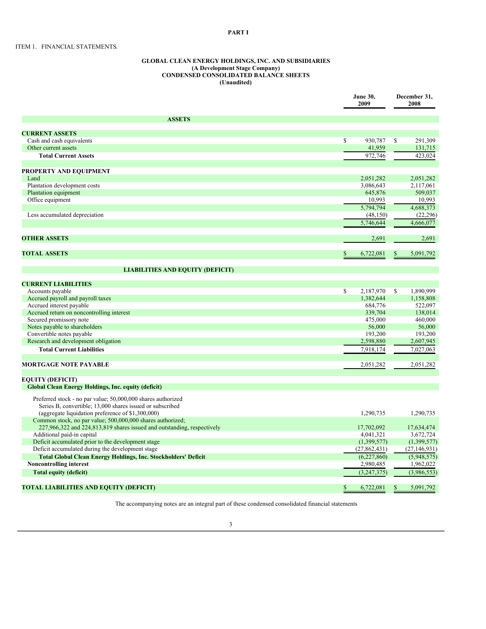# **PART I**

#### **GLOBAL CLEAN ENERGY HOLDINGS, INC. AND SUBSIDIARIES (A Development Stage Company) CONDENSED CONSOLIDATED BALANCE SHEETS (Unaudited)**

|                                                                                                        |              | June 30,<br>2009              |              | December 31,<br>2008          |
|--------------------------------------------------------------------------------------------------------|--------------|-------------------------------|--------------|-------------------------------|
| <b>ASSETS</b>                                                                                          |              |                               |              |                               |
| <b>CURRENT ASSETS</b>                                                                                  |              |                               |              |                               |
| Cash and cash equivalents                                                                              | $\mathbb{S}$ | 930.787                       | $\mathbf S$  | 291.309                       |
| Other current assets                                                                                   |              | 41,959                        |              | 131,715                       |
| <b>Total Current Assets</b>                                                                            |              | 972.746                       |              | 423,024                       |
|                                                                                                        |              |                               |              |                               |
| PROPERTY AND EQUIPMENT                                                                                 |              |                               |              |                               |
| Land                                                                                                   |              | 2,051,282                     |              | 2,051,282                     |
| Plantation development costs                                                                           |              | 3,086,643                     |              | 2,117,061                     |
| Plantation equipment                                                                                   |              | 645,876<br>10,993             |              | 509,037<br>10,993             |
| Office equipment                                                                                       |              |                               |              |                               |
|                                                                                                        |              | 5,794,794                     |              | 4,688,373                     |
| Less accumulated depreciation                                                                          |              | (48, 150)                     |              | (22, 296)                     |
|                                                                                                        |              | 5,746,644                     |              | 4,666,077                     |
| <b>OTHER ASSETS</b>                                                                                    |              | 2,691                         |              | 2,691                         |
| <b>TOTAL ASSETS</b>                                                                                    | \$           | 6,722,081                     | $\mathbb{S}$ | 5,091,792                     |
| <b>LIABILITIES AND EQUITY (DEFICIT)</b>                                                                |              |                               |              |                               |
|                                                                                                        |              |                               |              |                               |
| <b>CURRENT LIABILITIES</b>                                                                             |              |                               |              |                               |
| Accounts payable                                                                                       | $\mathbb{S}$ | 2,187,970                     | S            | 1,890,999                     |
| Accrued payroll and payroll taxes                                                                      |              | 1,382,644                     |              | 1,158,808                     |
| Accrued interest payable                                                                               |              | 684,776                       |              | 522,097                       |
| Accrued return on noncontrolling interest                                                              |              | 339,704                       |              | 138,014                       |
| Secured promissory note                                                                                |              | 475,000                       |              | 460,000                       |
| Notes payable to shareholders                                                                          |              | 56,000                        |              | 56,000                        |
| Convertible notes payable                                                                              |              | 193,200                       |              | 193,200                       |
| Research and development obligation                                                                    |              | 2,598,880                     |              | 2,607,945                     |
| <b>Total Current Liabilities</b>                                                                       |              | 7,918,174                     |              | 7,027,063                     |
| <b>MORTGAGE NOTE PAYABLE</b>                                                                           |              | 2,051,282                     |              | 2,051,282                     |
| <b>EQUITY (DEFICIT)</b>                                                                                |              |                               |              |                               |
| <b>Global Clean Energy Holdings, Inc. equity (deficit)</b>                                             |              |                               |              |                               |
| Preferred stock - no par value; 50,000,000 shares authorized                                           |              |                               |              |                               |
| Series B, convertible; 13,000 shares issued or subscribed                                              |              |                               |              |                               |
| (aggregate liquidation preference of \$1,300,000)                                                      |              | 1,290,735                     |              | 1,290,735                     |
| Common stock, no par value; 500,000,000 shares authorized;                                             |              |                               |              |                               |
| 227,966,322 and 224,813,819 shares issued and outstanding, respectively<br>Additional paid-in capital  |              | 17,702,092<br>4,041,321       |              | 17,634,474<br>3,672,724       |
|                                                                                                        |              |                               |              |                               |
| Deficit accumulated prior to the development stage<br>Deficit accumulated during the development stage |              | (1,399,577)<br>(27, 862, 431) |              | (1,399,577)<br>(27, 146, 931) |
|                                                                                                        |              |                               |              |                               |
| <b>Total Global Clean Energy Holdings, Inc. Stockholders' Deficit</b>                                  |              | (6,227,860)<br>2,980,485      |              | (5,948,575)<br>1,962,022      |
| <b>Noncontrolling interest</b>                                                                         |              |                               |              |                               |
| <b>Total equity (deficit)</b>                                                                          |              | (3,247,375)                   |              | (3,986,553)                   |
| <b>TOTAL LIABILITIES AND EQUITY (DEFICIT)</b>                                                          | \$           | 6,722,081                     | \$           | 5,091,792                     |
|                                                                                                        |              |                               |              |                               |

The accompanying notes are an integral part of these condensed consolidated financial statements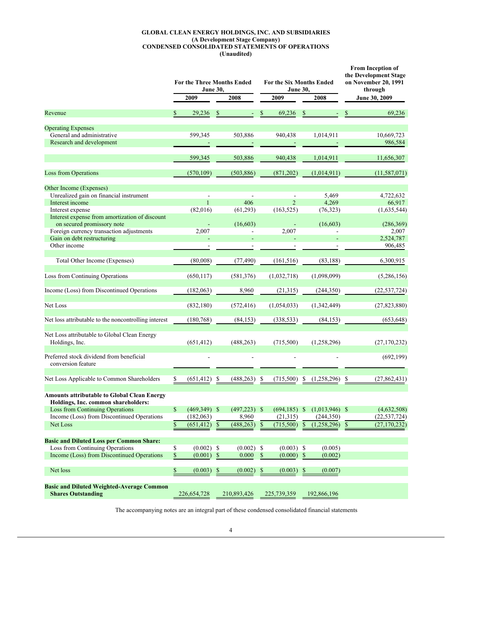# **GLOBAL CLEAN ENERGY HOLDINGS, INC. AND SUBSIDIARIES (A Development Stage Company) CONDENSED CONSOLIDATED STATEMENTS OF OPERATIONS (Unaudited)**

|                                                                                           |              | <b>From Inception of</b><br>the Development Stage<br>on November 20, 1991<br><b>For the Three Months Ended</b><br><b>For the Six Months Ended</b><br><b>June 30,</b><br><b>June 30,</b> |              |                 |               |                 |    |                  |               |                          |
|-------------------------------------------------------------------------------------------|--------------|-----------------------------------------------------------------------------------------------------------------------------------------------------------------------------------------|--------------|-----------------|---------------|-----------------|----|------------------|---------------|--------------------------|
|                                                                                           |              | 2009                                                                                                                                                                                    |              | 2008            |               | 2009            |    | 2008             |               | through<br>June 30, 2009 |
| Revenue                                                                                   | \$           | 29,236                                                                                                                                                                                  | \$           |                 | \$            | 69,236          | \$ |                  | $\mathbb{S}$  | 69,236                   |
| <b>Operating Expenses</b>                                                                 |              |                                                                                                                                                                                         |              |                 |               |                 |    |                  |               |                          |
| General and administrative                                                                |              | 599,345                                                                                                                                                                                 |              | 503,886         |               | 940,438         |    | 1,014,911        |               | 10,669,723               |
| Research and development                                                                  |              |                                                                                                                                                                                         |              |                 |               |                 |    |                  |               | 986,584                  |
|                                                                                           |              | 599,345                                                                                                                                                                                 |              | 503,886         |               | 940,438         |    | 1,014,911        |               | 11,656,307               |
| <b>Loss from Operations</b>                                                               |              | (570, 109)                                                                                                                                                                              |              | (503, 886)      |               | (871,202)       |    | (1,014,911)      |               | (11, 587, 071)           |
| Other Income (Expenses)                                                                   |              |                                                                                                                                                                                         |              |                 |               |                 |    |                  |               |                          |
| Unrealized gain on financial instrument                                                   |              |                                                                                                                                                                                         |              |                 |               |                 |    | 5,469            |               | 4,722,632                |
| Interest income                                                                           |              | $\mathbf{1}$                                                                                                                                                                            |              | 406             |               | $\overline{2}$  |    | 4,269            |               | 66,917                   |
| Interest expense                                                                          |              | (82,016)                                                                                                                                                                                |              | (61, 293)       |               | (163, 525)      |    | (76, 323)        |               | (1,635,544)              |
| Interest expense from amortization of discount<br>on secured promissory note              |              |                                                                                                                                                                                         |              | (16,603)        |               |                 |    | (16, 603)        |               | (286, 369)               |
| Foreign currency transaction adjustments                                                  |              | 2,007                                                                                                                                                                                   |              |                 |               | 2,007           |    |                  |               | 2,007                    |
| Gain on debt restructuring                                                                |              |                                                                                                                                                                                         |              |                 |               |                 |    |                  |               | 2,524,787                |
| Other income                                                                              |              |                                                                                                                                                                                         |              |                 |               |                 |    |                  |               | 906,485                  |
|                                                                                           |              |                                                                                                                                                                                         |              |                 |               |                 |    |                  |               |                          |
| Total Other Income (Expenses)                                                             |              | (80,008)                                                                                                                                                                                |              | (77, 490)       |               | (161, 516)      |    | (83, 188)        |               | 6,300,915                |
| Loss from Continuing Operations                                                           |              | (650, 117)                                                                                                                                                                              |              | (581, 376)      |               | (1,032,718)     |    | (1,098,099)      |               | (5,286,156)              |
| Income (Loss) from Discontinued Operations                                                |              | (182,063)                                                                                                                                                                               |              | 8,960           |               | (21, 315)       |    | (244, 350)       |               | (22, 537, 724)           |
|                                                                                           |              |                                                                                                                                                                                         |              |                 |               |                 |    |                  |               |                          |
| Net Loss                                                                                  |              | (832, 180)                                                                                                                                                                              |              | (572, 416)      |               | (1,054,033)     |    | (1,342,449)      |               | (27, 823, 880)           |
| Net loss attributable to the noncontrolling interest                                      |              | (180, 768)                                                                                                                                                                              |              | (84, 153)       |               | (338, 533)      |    | (84, 153)        |               | (653, 648)               |
| Net Loss attributable to Global Clean Energy<br>Holdings, Inc.                            |              | (651, 412)                                                                                                                                                                              |              | (488, 263)      |               | (715,500)       |    | (1,258,296)      |               | (27, 170, 232)           |
| Preferred stock dividend from beneficial<br>conversion feature                            |              |                                                                                                                                                                                         |              |                 |               |                 |    |                  |               | (692, 199)               |
| Net Loss Applicable to Common Shareholders                                                | \$           | (651, 412)                                                                                                                                                                              | \$           | (488, 263)      | \$            | (715,500)       | \$ | (1,258,296)      | S             | (27, 862, 431)           |
| <b>Amounts attributable to Global Clean Energy</b><br>Holdings, Inc. common shareholders: |              |                                                                                                                                                                                         |              |                 |               |                 |    |                  |               |                          |
| <b>Loss from Continuing Operations</b>                                                    | $\mathbb{S}$ | $(469,349)$ \$                                                                                                                                                                          |              | $(497, 223)$ \$ |               | $(694, 185)$ \$ |    | $(1,013,946)$ \$ |               | (4,632,508)              |
| Income (Loss) from Discontinued Operations                                                |              | (182,063)                                                                                                                                                                               |              | 8,960           |               | (21, 315)       |    | (244, 350)       |               | (22, 537, 724)           |
| Net Loss                                                                                  | \$           | (651, 412)                                                                                                                                                                              | \$           | (488, 263)      | <sup>\$</sup> | (715,500)       | \$ | (1,258,296)      | <sup>\$</sup> | (27, 170, 232)           |
|                                                                                           |              |                                                                                                                                                                                         |              |                 |               |                 |    |                  |               |                          |
| <b>Basic and Diluted Loss per Common Share:</b>                                           |              |                                                                                                                                                                                         |              |                 |               |                 |    |                  |               |                          |
| Loss from Continuing Operations                                                           | \$           | $(0.002)$ \$                                                                                                                                                                            |              | $(0.002)$ \$    |               | $(0.003)$ \$    |    | (0.005)          |               |                          |
| Income (Loss) from Discontinued Operations                                                | \$           | (0.001)                                                                                                                                                                                 | $\mathbb{S}$ | 0.000           | \$            | (0.000)         | \$ | (0.002)          |               |                          |
| Net loss                                                                                  | \$           | (0.003)                                                                                                                                                                                 | \$           | (0.002)         | \$            | (0.003)         | \$ | (0.007)          |               |                          |
|                                                                                           |              |                                                                                                                                                                                         |              |                 |               |                 |    |                  |               |                          |
| <b>Basic and Diluted Weighted-Average Common</b><br><b>Shares Outstanding</b>             |              | 226, 654, 728                                                                                                                                                                           |              | 210,893,426     |               | 225,739,359     |    | 192,866,196      |               |                          |

The accompanying notes are an integral part of these condensed consolidated financial statements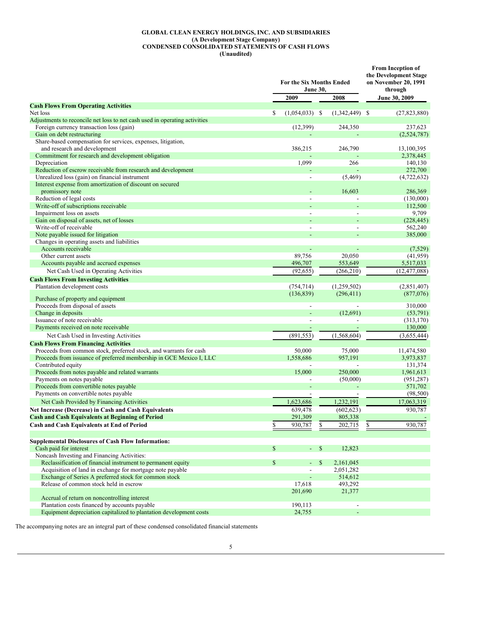### **GLOBAL CLEAN ENERGY HOLDINGS, INC. AND SUBSIDIARIES (A Development Stage Company) CONDENSED CONSOLIDATED STATEMENTS OF CASH FLOWS (Unaudited)**

|                                                                                               |              | <b>For the Six Months Ended</b><br><b>June 30,</b> |               |                          |    | From Inception of<br>the Development Stage<br>on November 20, 1991<br>through |  |  |
|-----------------------------------------------------------------------------------------------|--------------|----------------------------------------------------|---------------|--------------------------|----|-------------------------------------------------------------------------------|--|--|
|                                                                                               |              | 2009                                               |               | 2008                     |    | June 30, 2009                                                                 |  |  |
| <b>Cash Flows From Operating Activities</b>                                                   |              |                                                    |               |                          |    |                                                                               |  |  |
| Net loss                                                                                      | \$           | $(1,054,033)$ \$                                   |               | $(1,342,449)$ \$         |    | (27, 823, 880)                                                                |  |  |
| Adjustments to reconcile net loss to net cash used in operating activities                    |              |                                                    |               |                          |    |                                                                               |  |  |
| Foreign currency transaction loss (gain)                                                      |              | (12, 399)                                          |               | 244,350                  |    | 237,623                                                                       |  |  |
| Gain on debt restructuring                                                                    |              |                                                    |               |                          |    | (2,524,787)                                                                   |  |  |
| Share-based compensation for services, expenses, litigation,                                  |              |                                                    |               |                          |    |                                                                               |  |  |
| and research and development                                                                  |              | 386,215                                            |               | 246,790                  |    | 13,100,395                                                                    |  |  |
| Commitment for research and development obligation                                            |              |                                                    |               |                          |    | 2,378,445                                                                     |  |  |
| Depreciation                                                                                  |              | 1,099                                              |               | 266                      |    | 140,130                                                                       |  |  |
| Reduction of escrow receivable from research and development                                  |              |                                                    |               |                          |    | 272,700                                                                       |  |  |
| Unrealized loss (gain) on financial instrument                                                |              | L,                                                 |               | (5, 469)                 |    | (4,722,632)                                                                   |  |  |
| Interest expense from amortization of discount on secured                                     |              |                                                    |               |                          |    |                                                                               |  |  |
| promissory note                                                                               |              |                                                    |               | 16,603                   |    | 286,369                                                                       |  |  |
| Reduction of legal costs                                                                      |              | ٠                                                  |               |                          |    | (130,000)                                                                     |  |  |
| Write-off of subscriptions receivable                                                         |              |                                                    |               |                          |    | 112,500                                                                       |  |  |
| Impairment loss on assets                                                                     |              | $\overline{\phantom{a}}$                           |               | $\blacksquare$           |    | 9,709                                                                         |  |  |
| Gain on disposal of assets, net of losses                                                     |              |                                                    |               |                          |    | (228, 445)                                                                    |  |  |
| Write-off of receivable                                                                       |              |                                                    |               |                          |    | 562,240                                                                       |  |  |
| Note payable issued for litigation                                                            |              |                                                    |               |                          |    | 385,000                                                                       |  |  |
| Changes in operating assets and liabilities                                                   |              |                                                    |               |                          |    |                                                                               |  |  |
| Accounts receivable                                                                           |              |                                                    |               |                          |    | (7,529)                                                                       |  |  |
| Other current assets                                                                          |              | 89.756                                             |               | 20,050                   |    | (41, 959)                                                                     |  |  |
| Accounts payable and accrued expenses                                                         |              | 496,707                                            |               | 553,649                  |    | 5,517,033                                                                     |  |  |
| Net Cash Used in Operating Activities                                                         |              | (92, 655)                                          |               | (266, 210)               |    | (12, 477, 088)                                                                |  |  |
| <b>Cash Flows From Investing Activities</b>                                                   |              |                                                    |               |                          |    |                                                                               |  |  |
| Plantation development costs                                                                  |              | (754, 714)                                         |               | (1,259,502)              |    | (2,851,407)                                                                   |  |  |
|                                                                                               |              | (136, 839)                                         |               | (296, 411)               |    | (877,076)                                                                     |  |  |
| Purchase of property and equipment                                                            |              |                                                    |               |                          |    |                                                                               |  |  |
| Proceeds from disposal of assets                                                              |              | $\overline{a}$                                     |               | $\overline{\phantom{a}}$ |    | 310,000                                                                       |  |  |
| Change in deposits                                                                            |              |                                                    |               | (12,691)                 |    | (53,791)                                                                      |  |  |
| Issuance of note receivable                                                                   |              | $\overline{\phantom{a}}$                           |               |                          |    | (313, 170)                                                                    |  |  |
| Payments received on note receivable                                                          |              |                                                    |               |                          |    | 130,000                                                                       |  |  |
| Net Cash Used in Investing Activities                                                         |              | (891, 553)                                         |               | (1, 568, 604)            |    | (3,655,444)                                                                   |  |  |
| <b>Cash Flows From Financing Activities</b>                                                   |              |                                                    |               |                          |    |                                                                               |  |  |
| Proceeds from common stock, preferred stock, and warrants for cash                            |              | 50,000                                             |               | 75,000                   |    | 11,474,580                                                                    |  |  |
| Proceeds from issuance of preferred membership in GCE Mexico I, LLC                           |              | 1,558,686                                          |               | 957,191                  |    | 3,973,837                                                                     |  |  |
| Contributed equity                                                                            |              |                                                    |               |                          |    | 131,374                                                                       |  |  |
| Proceeds from notes payable and related warrants                                              |              | 15,000                                             |               | 250,000                  |    | 1,961,613                                                                     |  |  |
| Payments on notes payable                                                                     |              | ÷,                                                 |               | (50,000)                 |    | (951, 287)                                                                    |  |  |
| Proceeds from convertible notes payable                                                       |              |                                                    |               |                          |    | 571,702                                                                       |  |  |
| Payments on convertible notes payable                                                         |              |                                                    |               |                          |    | (98, 500)                                                                     |  |  |
| Net Cash Provided by Financing Activities                                                     |              | 1,623,686                                          |               | 1,232,191                |    | 17,063,319                                                                    |  |  |
| Net Increase (Decrease) in Cash and Cash Equivalents                                          |              | 639,478                                            |               | (602, 623)               |    | 930,787                                                                       |  |  |
| <b>Cash and Cash Equivalents at Beginning of Period</b>                                       |              | 291,309                                            |               | 805,338                  |    |                                                                               |  |  |
| Cash and Cash Equivalents at End of Period                                                    | \$           | 930,787                                            | \$            | 202,715                  | \$ | 930,787                                                                       |  |  |
|                                                                                               |              |                                                    |               |                          |    |                                                                               |  |  |
|                                                                                               |              |                                                    |               |                          |    |                                                                               |  |  |
| <b>Supplemental Disclosures of Cash Flow Information:</b>                                     |              |                                                    |               |                          |    |                                                                               |  |  |
| Cash paid for interest                                                                        | $\mathbb{S}$ |                                                    | $-5$          | 12,823                   |    |                                                                               |  |  |
| Noncash Investing and Financing Activities:                                                   |              |                                                    |               |                          |    |                                                                               |  |  |
| Reclassification of financial instrument to permanent equity                                  | \$           | ÷                                                  | $\mathcal{S}$ | 2,161,045                |    |                                                                               |  |  |
| Acquisition of land in exchange for mortgage note payable                                     |              | $\overline{\phantom{a}}$                           |               | 2,051,282                |    |                                                                               |  |  |
| Exchange of Series A preferred stock for common stock                                         |              |                                                    |               | 514,612                  |    |                                                                               |  |  |
| Release of common stock held in escrow                                                        |              | 17,618                                             |               | 493,292                  |    |                                                                               |  |  |
|                                                                                               |              | 201,690                                            |               | 21,377                   |    |                                                                               |  |  |
| Accrual of return on noncontrolling interest<br>Plantation costs financed by accounts payable |              |                                                    |               |                          |    |                                                                               |  |  |
| Equipment depreciation capitalized to plantation development costs                            |              | 190,113<br>24,755                                  |               |                          |    |                                                                               |  |  |
|                                                                                               |              |                                                    |               |                          |    |                                                                               |  |  |

The accompanying notes are an integral part of these condensed consolidated financial statements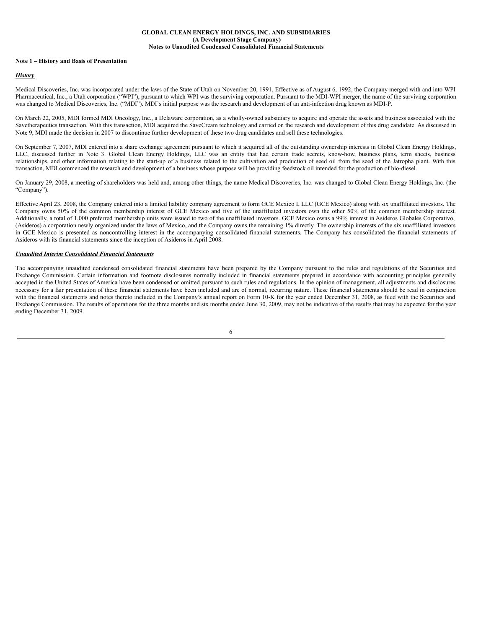# **Note 1 – History and Basis of Presentation**

# *History*

Medical Discoveries, Inc. was incorporated under the laws of the State of Utah on November 20, 1991. Effective as of August 6, 1992, the Company merged with and into WPI Pharmaceutical, Inc., a Utah corporation ("WPI"), pursuant to which WPI was the surviving corporation. Pursuant to the MDI-WPI merger, the name of the surviving corporation was changed to Medical Discoveries, Inc. ("MDI"). MDI's initial purpose was the research and development of an anti-infection drug known as MDI-P.

On March 22, 2005, MDI formed MDI Oncology, Inc., a Delaware corporation, as a wholly-owned subsidiary to acquire and operate the assets and business associated with the Savetherapeutics transaction. With this transaction, MDI acquired the SaveCream technology and carried on the research and development of this drug candidate. As discussed in Note 9, MDI made the decision in 2007 to discontinue further development of these two drug candidates and sell these technologies.

On September 7, 2007, MDI entered into a share exchange agreement pursuant to which it acquired all of the outstanding ownership interests in Global Clean Energy Holdings, LLC, discussed further in Note 3. Global Clean Energy Holdings, LLC was an entity that had certain trade secrets, know-how, business plans, term sheets, business relationships, and other information relating to the start-up of a business related to the cultivation and production of seed oil from the seed of the Jatropha plant. With this transaction, MDI commenced the research and development of a business whose purpose will be providing feedstock oil intended for the production of bio-diesel.

On January 29, 2008, a meeting of shareholders was held and, among other things, the name Medical Discoveries, Inc. was changed to Global Clean Energy Holdings, Inc. (the "Company").

Effective April 23, 2008, the Company entered into a limited liability company agreement to form GCE Mexico I, LLC (GCE Mexico) along with six unaffiliated investors. The Company owns 50% of the common membership interest of GCE Mexico and five of the unaffiliated investors own the other 50% of the common membership interest. Additionally, a total of 1,000 preferred membership units were issued to two of the unaffiliated investors. GCE Mexico owns a 99% interest in Asideros Globales Corporativo, (Asideros) a corporation newly organized under the laws of Mexico, and the Company owns the remaining 1% directly. The ownership interests of the six unaffiliated investors in GCE Mexico is presented as noncontrolling interest in the accompanying consolidated financial statements. The Company has consolidated the financial statements of Asideros with its financial statements since the inception of Asideros in April 2008.

### *Unaudited Interim Consolidated Financial Statements*

The accompanying unaudited condensed consolidated financial statements have been prepared by the Company pursuant to the rules and regulations of the Securities and Exchange Commission. Certain information and footnote disclosures normally included in financial statements prepared in accordance with accounting principles generally accepted in the United States of America have been condensed or omitted pursuant to such rules and regulations. In the opinion of management, all adjustments and disclosures necessary for a fair presentation of these financial statements have been included and are of normal, recurring nature. These financial statements should be read in conjunction with the financial statements and notes thereto included in the Company's annual report on Form 10-K for the year ended December 31, 2008, as filed with the Securities and Exchange Commission. The results of operations for the three months and six months ended June 30, 2009, may not be indicative of the results that may be expected for the year ending December 31, 2009.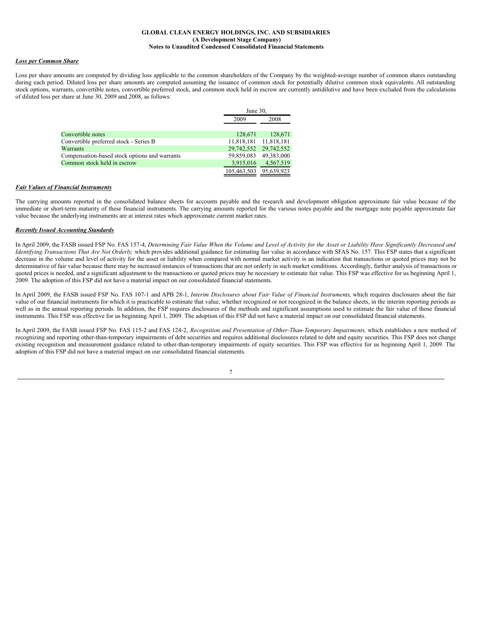### *Loss per Common Share*

Loss per share amounts are computed by dividing loss applicable to the common shareholders of the Company by the weighted-average number of common shares outstanding during each period. Diluted loss per share amounts are computed assuming the issuance of common stock for potentially dilutive common stock equivalents. All outstanding stock options, warrants, convertible notes, convertible preferred stock, and common stock held in escrow are currently antidilutive and have been excluded from the calculations of diluted loss per share at June 30, 2009 and 2008, as follows:

|                                               | June 30,    |            |
|-----------------------------------------------|-------------|------------|
|                                               | 2009        | 2008       |
|                                               |             |            |
| Convertible notes                             | 128,671     | 128,671    |
| Convertible preferred stock - Series B        | 11,818,181  | 11,818,181 |
| Warrants                                      | 29,742,552  | 29,742,552 |
| Compensation-based stock options and warrants | 59,859,083  | 49,383,000 |
| Common stock held in escrow                   | 3,915,016   | 4,567,519  |
|                                               | 105,463,503 | 95,639,923 |

#### *Fair Values of Financial Instruments*

The carrying amounts reported in the consolidated balance sheets for accounts payable and the research and development obligation approximate fair value because of the immediate or short-term maturity of these financial instruments. The carrying amounts reported for the various notes payable and the mortgage note payable approximate fair value because the underlying instruments are at interest rates which approximate current market rates.

## *Recently Issued Accounting Standards*

In April 2009, the FASB issued FSP No. FAS 157-4, Determining Fair Value When the Volume and Level of Activity for the Asset or Liability Have Significantly Decreased and *Identifying Transactions That Are Not Orderly,* which provides additional guidance for estimating fair value in accordance with SFAS No. 157. This FSP states that a significant decrease in the volume and level of activity for the asset or liability when compared with normal market activity is an indication that transactions or quoted prices may not be determinative of fair value because there may be increased instances of transactions that are not orderly in such market conditions. Accordingly, further analysis of transactions or quoted prices is needed, and a significant adjustment to the transactions or quoted prices may be necessary to estimate fair value. This FSP was effective for us beginning April 1, 2009. The adoption of this FSP did not have a material impact on our consolidated financial statements.

In April 2009, the FASB issued FSP No. FAS 107-1 and APB 28-1, *Interim Disclosures about Fair Value of Financial Instruments*, which requires disclosures about the fair value of our financial instruments for which it is practicable to estimate that value, whether recognized or not recognized in the balance sheets, in the interim reporting periods as well as in the annual reporting periods. In addition, the FSP requires disclosures of the methods and significant assumptions used to estimate the fair value of those financial instruments. This FSP was effective for us beginning April 1, 2009. The adoption of this FSP did not have a material impact on our consolidated financial statements.

In April 2009, the FASB issued FSP No. FAS 115-2 and FAS 124-2, *Recognition and Presentation of Other-Than-Temporary Impairments,* which establishes a new method of recognizing and reporting other-than-temporary impairments of debt securities and requires additional disclosures related to debt and equity securities. This FSP does not change existing recognition and measurement guidance related to other-than-temporary impairments of equity securities. This FSP was effective for us beginning April 1, 2009. The adoption of this FSP did not have a material impact on our consolidated financial statements.

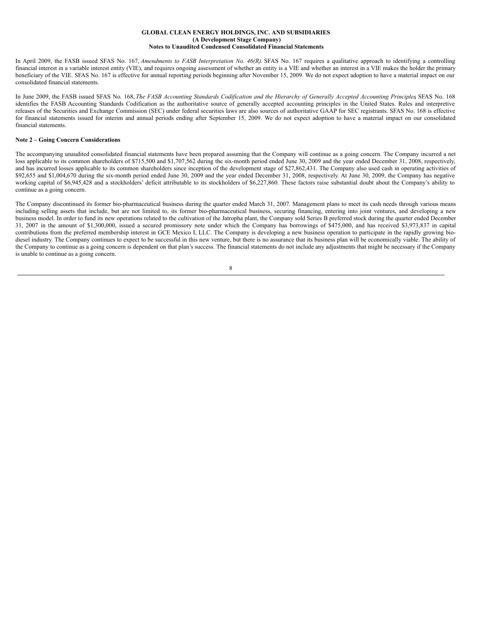In April 2009, the FASB issued SFAS No. 167, *Amendments to FASB Interpretation No. 46(R)*. SFAS No. 167 requires a qualitative approach to identifying a controlling financial interest in a variable interest entity (VIE), and requires ongoing assessment of whether an entity is a VIE and whether an interest in a VIE makes the holder the primary beneficiary of the VIE. SFAS No. 167 is effective for annual reporting periods beginning after November 15, 2009. We do not expect adoption to have a material impact on our consolidated financial statements.

In June 2009, the FASB issued SFAS No. 168, The FASB Accounting Standards Codification and the Hierarchy of Generally Accepted Accounting Principles SFAS No. 168 identifies the FASB Accounting Standards Codification as the authoritative source of generally accepted accounting principles in the United States. Rules and interpretive releases of the Securities and Exchange Commission (SEC) under federal securities laws are also sources of authoritative GAAP for SEC registrants. SFAS No. 168 is effective for financial statements issued for interim and annual periods ending after September 15, 2009. We do not expect adoption to have a material impact on our consolidated financial statements.

# **Note 2 – Going Concern Considerations**

The accompanying unaudited consolidated financial statements have been prepared assuming that the Company will continue as a going concern. The Company incurred a net loss applicable to its common shareholders of \$715,500 and \$1,707,562 during the six-month period ended June 30, 2009 and the year ended December 31, 2008, respectively, and has incurred losses applicable to its common shareholders since inception of the development stage of \$27,862,431. The Company also used cash in operating activities of \$92,655 and \$1,004,670 during the six-month period ended June 30, 2009 and the year ended December 31, 2008, respectively. At June 30, 2009, the Company has negative working capital of \$6,945,428 and a stockholders' deficit attributable to its stockholders of \$6,227,860. These factors raise substantial doubt about the Company's ability to continue as a going concern.

The Company discontinued its former bio-pharmaceutical business during the quarter ended March 31, 2007. Management plans to meet its cash needs through various means including selling assets that include, but are not limited to, its former bio-pharmaceutical business, securing financing, entering into joint ventures, and developing a new business model. In order to fund its new operations related to the cultivation of the Jatropha plant, the Company sold Series B preferred stock during the quarter ended December 31, 2007 in the amount of \$1,300,000, issued a secured promissory note under which the Company has borrowings of \$475,000, and has received \$3,973,837 in capital contributions from the preferred membership interest in GCE Mexico I, LLC. The Company is developing a new business operation to participate in the rapidly growing biodiesel industry. The Company continues to expect to be successful in this new venture, but there is no assurance that its business plan will be economically viable. The ability of the Company to continue as a going concern is dependent on that plan's success. The financial statements do not include any adjustments that might be necessary if the Company is unable to continue as a going concern.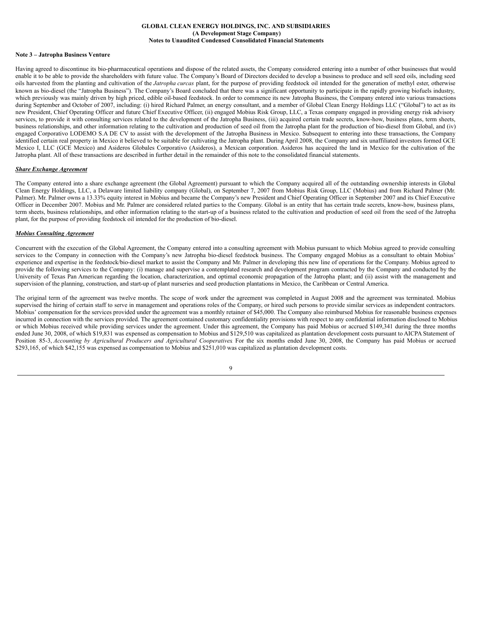#### **Note 3 – Jatropha Business Venture**

Having agreed to discontinue its bio-pharmaceutical operations and dispose of the related assets, the Company considered entering into a number of other businesses that would enable it to be able to provide the shareholders with future value. The Company's Board of Directors decided to develop a business to produce and sell seed oils, including seed oils harvested from the planting and cultivation of the *Jatropha curcas* plant, for the purpose of providing feedstock oil intended for the generation of methyl ester, otherwise known as bio-diesel (the "Jatropha Business"). The Company's Board concluded that there was a significant opportunity to participate in the rapidly growing biofuels industry, which previously was mainly driven by high priced, edible oil-based feedstock. In order to commence its new Jatropha Business, the Company entered into various transactions during September and October of 2007, including: (i) hired Richard Palmer, an energy consultant, and a member of Global Clean Energy Holdings LLC ("Global") to act as its new President, Chief Operating Officer and future Chief Executive Officer, (ii) engaged Mobius Risk Group, LLC, a Texas company engaged in providing energy risk advisory services, to provide it with consulting services related to the development of the Jatropha Business, (iii) acquired certain trade secrets, know-how, business plans, term sheets, business relationships, and other information relating to the cultivation and production of seed oil from the Jatropha plant for the production of bio-diesel from Global, and (iv) engaged Corporativo LODEMO S.A DE CV to assist with the development of the Jatropha Business in Mexico. Subsequent to entering into these transactions, the Company identified certain real property in Mexico it believed to be suitable for cultivating the Jatropha plant. During April 2008, the Company and six unaffiliated investors formed GCE Mexico I, LLC (GCE Mexico) and Asideros Globales Corporativo (Asideros), a Mexican corporation. Asideros has acquired the land in Mexico for the cultivation of the Jatropha plant. All of these transactions are described in further detail in the remainder of this note to the consolidated financial statements.

#### *Share Exchange Agreement*

The Company entered into a share exchange agreement (the Global Agreement) pursuant to which the Company acquired all of the outstanding ownership interests in Global Clean Energy Holdings, LLC, a Delaware limited liability company (Global), on September 7, 2007 from Mobius Risk Group, LLC (Mobius) and from Richard Palmer (Mr. Palmer). Mr. Palmer owns a 13.33% equity interest in Mobius and became the Company's new President and Chief Operating Officer in September 2007 and its Chief Executive Officer in December 2007. Mobius and Mr. Palmer are considered related parties to the Company. Global is an entity that has certain trade secrets, know-how, business plans, term sheets, business relationships, and other information relating to the start-up of a business related to the cultivation and production of seed oil from the seed of the Jatropha plant, for the purpose of providing feedstock oil intended for the production of bio-diesel.

#### *Mobius Consulting Agreement*

Concurrent with the execution of the Global Agreement, the Company entered into a consulting agreement with Mobius pursuant to which Mobius agreed to provide consulting services to the Company in connection with the Company's new Jatropha bio-diesel feedstock business. The Company engaged Mobius as a consultant to obtain Mobius' experience and expertise in the feedstock/bio-diesel market to assist the Company and Mr. Palmer in developing this new line of operations for the Company. Mobius agreed to provide the following services to the Company: (i) manage and supervise a contemplated research and development program contracted by the Company and conducted by the University of Texas Pan American regarding the location, characterization, and optimal economic propagation of the Jatropha plant; and (ii) assist with the management and supervision of the planning, construction, and start-up of plant nurseries and seed production plantations in Mexico, the Caribbean or Central America.

The original term of the agreement was twelve months. The scope of work under the agreement was completed in August 2008 and the agreement was terminated. Mobius supervised the hiring of certain staff to serve in management and operations roles of the Company, or hired such persons to provide similar services as independent contractors. Mobius' compensation for the services provided under the agreement was a monthly retainer of \$45,000. The Company also reimbursed Mobius for reasonable business expenses incurred in connection with the services provided. The agreement contained customary confidentiality provisions with respect to any confidential information disclosed to Mobius or which Mobius received while providing services under the agreement. Under this agreement, the Company has paid Mobius or accrued \$149,341 during the three months ended June 30, 2008, of which \$19,831 was expensed as compensation to Mobius and \$129,510 was capitalized as plantation development costs pursuant to AICPA Statement of Position 85-3, *Accounting by Agricultural Producers and Agricultural Cooperatives*. For the six months ended June 30, 2008, the Company has paid Mobius or accrued \$293,165, of which \$42,155 was expensed as compensation to Mobius and \$251,010 was capitalized as plantation development costs.

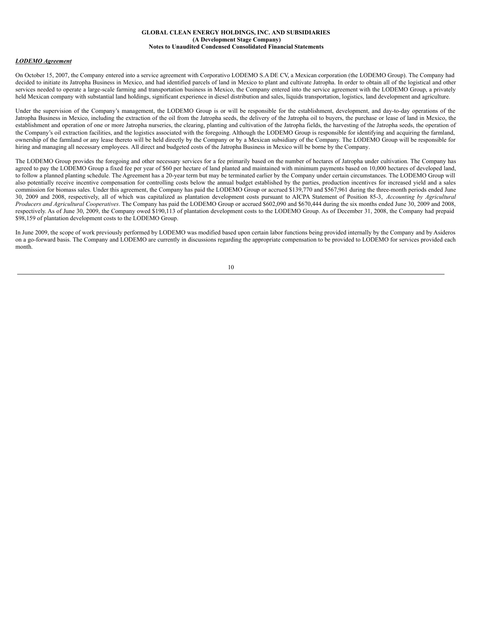### *LODEMO Agreement*

On October 15, 2007, the Company entered into a service agreement with Corporativo LODEMO S.A DE CV, a Mexican corporation (the LODEMO Group). The Company had decided to initiate its Jatropha Business in Mexico, and had identified parcels of land in Mexico to plant and cultivate Jatropha. In order to obtain all of the logistical and other services needed to operate a large-scale farming and transportation business in Mexico, the Company entered into the service agreement with the LODEMO Group, a privately held Mexican company with substantial land holdings, significant experience in diesel distribution and sales, liquids transportation, logistics, land development and agriculture.

Under the supervision of the Company's management, the LODEMO Group is or will be responsible for the establishment, development, and day-to-day operations of the Jatropha Business in Mexico, including the extraction of the oil from the Jatropha seeds, the delivery of the Jatropha oil to buyers, the purchase or lease of land in Mexico, the establishment and operation of one or more Jatropha nurseries, the clearing, planting and cultivation of the Jatropha fields, the harvesting of the Jatropha seeds, the operation of the Company's oil extraction facilities, and the logistics associated with the foregoing. Although the LODEMO Group is responsible for identifying and acquiring the farmland, ownership of the farmland or any lease thereto will be held directly by the Company or by a Mexican subsidiary of the Company. The LODEMO Group will be responsible for hiring and managing all necessary employees. All direct and budgeted costs of the Jatropha Business in Mexico will be borne by the Company.

The LODEMO Group provides the foregoing and other necessary services for a fee primarily based on the number of hectares of Jatropha under cultivation. The Company has agreed to pay the LODEMO Group a fixed fee per year of \$60 per hectare of land planted and maintained with minimum payments based on 10,000 hectares of developed land, to follow a planned planting schedule. The Agreement has a 20-year term but may be terminated earlier by the Company under certain circumstances. The LODEMO Group will also potentially receive incentive compensation for controlling costs below the annual budget established by the parties, production incentives for increased yield and a sales commission for biomass sales. Under this agreement, the Company has paid the LODEMO Group or accrued \$139,770 and \$567,961 during the three-month periods ended June 30, 2009 and 2008, respectively, all of which was capitalized as plantation development costs pursuant to AICPA Statement of Position 85-3, *Accounting by Agricultural Producers and Agricultural Cooperatives*. The Company has paid the LODEMO Group or accrued \$602,090 and \$670,444 during the six months ended June 30, 2009 and 2008, respectively. As of June 30, 2009, the Company owed \$190,113 of plantation development costs to the LODEMO Group. As of December 31, 2008, the Company had prepaid \$98,159 of plantation development costs to the LODEMO Group.

In June 2009, the scope of work previously performed by LODEMO was modified based upon certain labor functions being provided internally by the Company and by Asideros on a go-forward basis. The Company and LODEMO are currently in discussions regarding the appropriate compensation to be provided to LODEMO for services provided each month.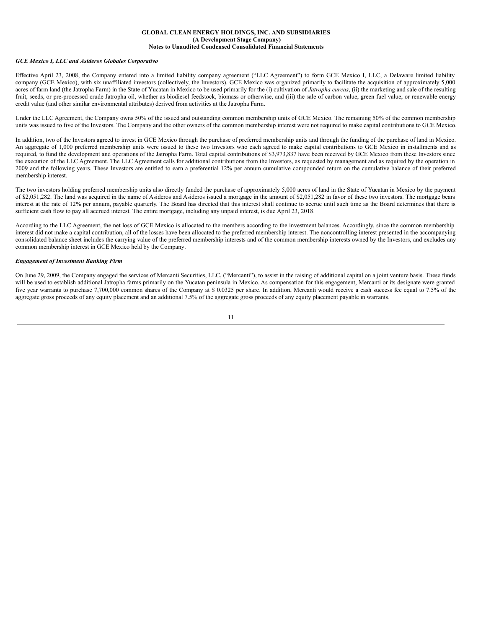# *GCE Mexico I, LLC and Asideros Globales Corporativo*

Effective April 23, 2008, the Company entered into a limited liability company agreement ("LLC Agreement") to form GCE Mexico I, LLC, a Delaware limited liability company (GCE Mexico), with six unaffiliated investors (collectively, the Investors). GCE Mexico was organized primarily to facilitate the acquisition of approximately 5,000 acres of farm land (the Jatropha Farm) in the State of Yucatan in Mexico to be used primarily for the (i) cultivation of *Jatropha curcas*, (ii) the marketing and sale of the resulting fruit, seeds, or pre-processed crude Jatropha oil, whether as biodiesel feedstock, biomass or otherwise, and (iii) the sale of carbon value, green fuel value, or renewable energy credit value (and other similar environmental attributes) derived from activities at the Jatropha Farm.

Under the LLC Agreement, the Company owns 50% of the issued and outstanding common membership units of GCE Mexico. The remaining 50% of the common membership units was issued to five of the Investors. The Company and the other owners of the common membership interest were not required to make capital contributions to GCE Mexico.

In addition, two of the Investors agreed to invest in GCE Mexico through the purchase of preferred membership units and through the funding of the purchase of land in Mexico. An aggregate of 1,000 preferred membership units were issued to these two Investors who each agreed to make capital contributions to GCE Mexico in installments and as required, to fund the development and operations of the Jatropha Farm. Total capital contributions of \$3,973,837 have been received by GCE Mexico from these Investors since the execution of the LLC Agreement. The LLC Agreement calls for additional contributions from the Investors, as requested by management and as required by the operation in 2009 and the following years. These Investors are entitled to earn a preferential 12% per annum cumulative compounded return on the cumulative balance of their preferred membership interest.

The two investors holding preferred membership units also directly funded the purchase of approximately 5,000 acres of land in the State of Yucatan in Mexico by the payment of \$2,051,282. The land was acquired in the name of Asideros and Asideros issued a mortgage in the amount of \$2,051,282 in favor of these two investors. The mortgage bears interest at the rate of 12% per annum, payable quarterly. The Board has directed that this interest shall continue to accrue until such time as the Board determines that there is sufficient cash flow to pay all accrued interest. The entire mortgage, including any unpaid interest, is due April 23, 2018.

According to the LLC Agreement, the net loss of GCE Mexico is allocated to the members according to the investment balances. Accordingly, since the common membership interest did not make a capital contribution, all of the losses have been allocated to the preferred membership interest. The noncontrolling interest presented in the accompanying consolidated balance sheet includes the carrying value of the preferred membership interests and of the common membership interests owned by the Investors, and excludes any common membership interest in GCE Mexico held by the Company.

### *Engagement of Investment Banking Firm*

On June 29, 2009, the Company engaged the services of Mercanti Securities, LLC, ("Mercanti"), to assist in the raising of additional capital on a joint venture basis. These funds will be used to establish additional Jatropha farms primarily on the Yucatan peninsula in Mexico. As compensation for this engagement, Mercanti or its designate were granted five year warrants to purchase 7,700,000 common shares of the Company at \$ 0.0325 per share. In addition, Mercanti would receive a cash success fee equal to 7.5% of the aggregate gross proceeds of any equity placement and an additional 7.5% of the aggregate gross proceeds of any equity placement payable in warrants.

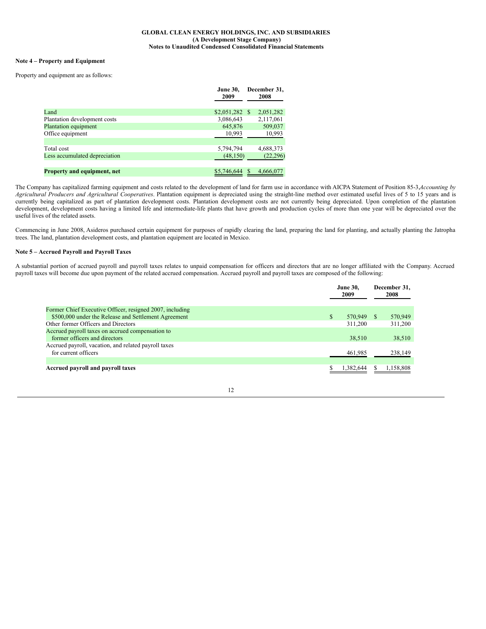# **Note 4 – Property and Equipment**

Property and equipment are as follows:

|                                    | <b>June 30,</b><br>2009 | December 31,<br>2008 |           |  |
|------------------------------------|-------------------------|----------------------|-----------|--|
| Land                               | $$2,051,282$ \$         |                      | 2,051,282 |  |
| Plantation development costs       | 3,086,643               |                      | 2,117,061 |  |
| Plantation equipment               | 645,876                 |                      | 509,037   |  |
| Office equipment                   | 10,993                  |                      | 10,993    |  |
|                                    |                         |                      |           |  |
| Total cost                         | 5,794,794               |                      | 4,688,373 |  |
| Less accumulated depreciation      | (48, 150)               |                      | (22, 296) |  |
|                                    |                         |                      |           |  |
| <b>Property and equipment, net</b> | \$5,746,644             |                      | 4,666,077 |  |

The Company has capitalized farming equipment and costs related to the development of land for farm use in accordance with AICPA Statement of Position 85-3,*Accounting by Agricultural Producers and Agricultural Cooperatives*. Plantation equipment is depreciated using the straight-line method over estimated useful lives of 5 to 15 years and is currently being capitalized as part of plantation development costs. Plantation development costs are not currently being depreciated. Upon completion of the plantation development, development costs having a limited life and intermediate-life plants that have growth and production cycles of more than one year will be depreciated over the useful lives of the related assets.

Commencing in June 2008, Asideros purchased certain equipment for purposes of rapidly clearing the land, preparing the land for planting, and actually planting the Jatropha trees. The land, plantation development costs, and plantation equipment are located in Mexico.

# **Note 5 – Accrued Payroll and Payroll Taxes**

A substantial portion of accrued payroll and payroll taxes relates to unpaid compensation for officers and directors that are no longer affiliated with the Company. Accrued payroll taxes will become due upon payment of the related accrued compensation. Accrued payroll and payroll taxes are composed of the following:

|                                                          |    | <b>June 30.</b><br>2009 | December 31,<br>2008 |           |
|----------------------------------------------------------|----|-------------------------|----------------------|-----------|
| Former Chief Executive Officer, resigned 2007, including |    |                         |                      |           |
| \$500,000 under the Release and Settlement Agreement     | S. | 570.949                 | S.                   | 570,949   |
| Other former Officers and Directors                      |    | 311.200                 |                      | 311,200   |
| Accrued payroll taxes on accrued compensation to         |    |                         |                      |           |
| former officers and directors                            |    | 38,510                  |                      | 38,510    |
| Accrued payroll, vacation, and related payroll taxes     |    |                         |                      |           |
| for current officers                                     |    | 461,985                 |                      | 238,149   |
|                                                          |    |                         |                      |           |
| Accrued payroll and payroll taxes                        |    | 1,382,644               |                      | 1,158,808 |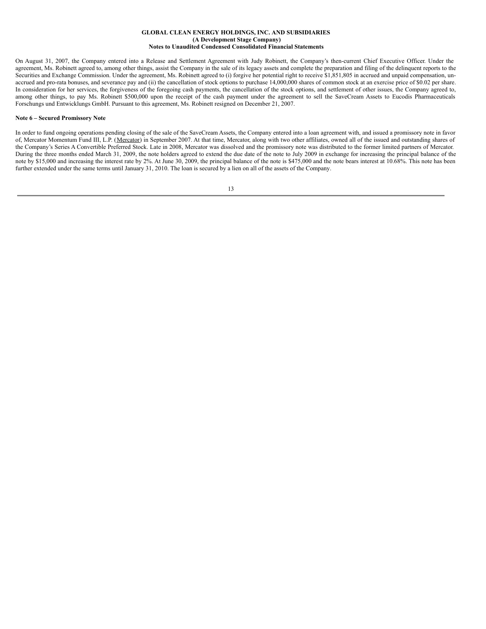On August 31, 2007, the Company entered into a Release and Settlement Agreement with Judy Robinett, the Company's then-current Chief Executive Officer. Under the agreement, Ms. Robinett agreed to, among other things, assist the Company in the sale of its legacy assets and complete the preparation and filing of the delinquent reports to the Securities and Exchange Commission. Under the agreement, Ms. Robinett agreed to (i) forgive her potential right to receive \$1,851,805 in accrued and unpaid compensation, unaccrued and pro-rata bonuses, and severance pay and (ii) the cancellation of stock options to purchase 14,000,000 shares of common stock at an exercise price of \$0.02 per share. In consideration for her services, the forgiveness of the foregoing cash payments, the cancellation of the stock options, and settlement of other issues, the Company agreed to, among other things, to pay Ms. Robinett \$500,000 upon the receipt of the cash payment under the agreement to sell the SaveCream Assets to Eucodis Pharmaceuticals Forschungs und Entwicklungs GmbH. Pursuant to this agreement, Ms. Robinett resigned on December 21, 2007.

# **Note 6 – Secured Promissory Note**

In order to fund ongoing operations pending closing of the sale of the SaveCream Assets, the Company entered into a loan agreement with, and issued a promissory note in favor of, Mercator Momentum Fund III, L.P. (Mercator) in September 2007. At that time, Mercator, along with two other affiliates, owned all of the issued and outstanding shares of the Company's Series A Convertible Preferred Stock. Late in 2008, Mercator was dissolved and the promissory note was distributed to the former limited partners of Mercator. During the three months ended March 31, 2009, the note holders agreed to extend the due date of the note to July 2009 in exchange for increasing the principal balance of the note by \$15,000 and increasing the interest rate by 2%. At June 30, 2009, the principal balance of the note is \$475,000 and the note bears interest at 10.68%. This note has been further extended under the same terms until January 31, 2010. The loan is secured by a lien on all of the assets of the Company.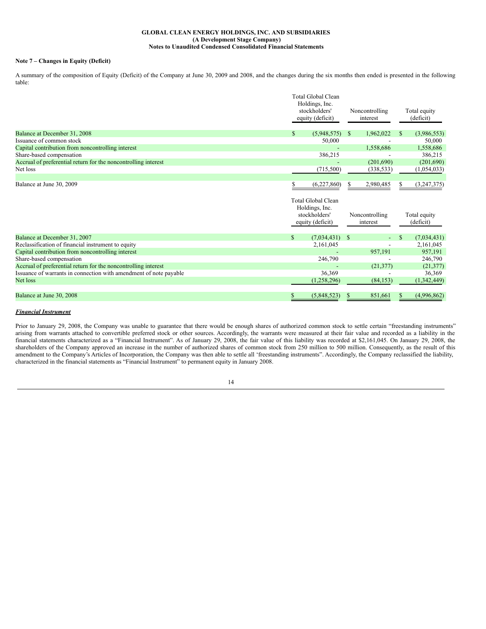# **Note 7 – Changes in Equity (Deficit)**

A summary of the composition of Equity (Deficit) of the Company at June 30, 2009 and 2008, and the changes during the six months then ended is presented in the following table:

|                                                                   | <b>Total Global Clean</b><br>Holdings, Inc.<br>stockholders'<br>equity (deficit) |                                             |               | Noncontrolling<br>interest |    | Total equity<br>(deficit) |
|-------------------------------------------------------------------|----------------------------------------------------------------------------------|---------------------------------------------|---------------|----------------------------|----|---------------------------|
| Balance at December 31, 2008                                      | \$                                                                               | (5,948,575)                                 | <sup>\$</sup> | 1,962,022                  | \$ | (3,986,553)               |
| Issuance of common stock                                          |                                                                                  | 50,000                                      |               |                            |    | 50,000                    |
| Capital contribution from noncontrolling interest                 |                                                                                  |                                             |               | 1,558,686                  |    | 1,558,686                 |
| Share-based compensation                                          |                                                                                  | 386,215                                     |               |                            |    | 386,215                   |
| Accrual of preferential return for the noncontrolling interest    |                                                                                  |                                             |               | (201,690)                  |    | (201,690)                 |
| Net loss                                                          |                                                                                  | (715,500)                                   |               | (338, 533)                 |    | (1,054,033)               |
|                                                                   |                                                                                  |                                             |               |                            |    |                           |
| Balance at June 30, 2009                                          |                                                                                  | (6,227,860)                                 | \$            | 2,980,485                  |    | (3,247,375)               |
|                                                                   |                                                                                  | <b>Total Global Clean</b><br>Holdings, Inc. |               |                            |    |                           |
|                                                                   |                                                                                  | stockholders'<br>equity (deficit)           |               | Noncontrolling<br>interest |    | Total equity<br>(deficit) |
| Balance at December 31, 2007                                      | \$                                                                               | $(7,034,431)$ \$                            |               | ÷.                         | \$ | (7,034,431)               |
| Reclassification of financial instrument to equity                |                                                                                  | 2,161,045                                   |               |                            |    | 2,161,045                 |
| Capital contribution from noncontrolling interest                 |                                                                                  |                                             |               | 957,191                    |    | 957,191                   |
| Share-based compensation                                          |                                                                                  | 246,790                                     |               |                            |    | 246,790                   |
| Accrual of preferential return for the noncontrolling interest    |                                                                                  |                                             |               | (21, 377)                  |    | (21, 377)                 |
| Issuance of warrants in connection with amendment of note payable |                                                                                  | 36,369                                      |               |                            |    | 36,369                    |
| Net loss                                                          |                                                                                  | (1,258,296)                                 |               | (84, 153)                  |    | (1,342,449)               |
| Balance at June 30, 2008                                          |                                                                                  | (5,848,523)                                 |               | 851,661                    |    | (4,996,862)               |

#### *Financial Instrument*

Prior to January 29, 2008, the Company was unable to guarantee that there would be enough shares of authorized common stock to settle certain "freestanding instruments" arising from warrants attached to convertible preferred stock or other sources. Accordingly, the warrants were measured at their fair value and recorded as a liability in the financial statements characterized as a "Financial Instrument". As of January 29, 2008, the fair value of this liability was recorded at \$2,161,045. On January 29, 2008, the shareholders of the Company approved an increase in the number of authorized shares of common stock from 250 million to 500 million. Consequently, as the result of this amendment to the Company's Articles of Incorporation, the Company was then able to settle all 'freestanding instruments". Accordingly, the Company reclassified the liability, characterized in the financial statements as "Financial Instrument" to permanent equity in January 2008.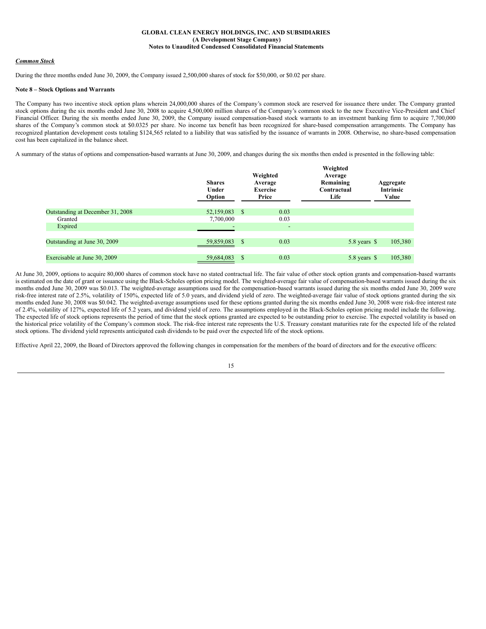# *Common Stock*

During the three months ended June 30, 2009, the Company issued 2,500,000 shares of stock for \$50,000, or \$0.02 per share.

#### **Note 8 – Stock Options and Warrants**

The Company has two incentive stock option plans wherein 24,000,000 shares of the Company's common stock are reserved for issuance there under. The Company granted stock options during the six months ended June 30, 2008 to acquire 4,500,000 million shares of the Company's common stock to the new Executive Vice-President and Chief Financial Officer. During the six months ended June 30, 2009, the Company issued compensation-based stock warrants to an investment banking firm to acquire 7,700,000 shares of the Company's common stock at \$0.0325 per share. No income tax benefit has been recognized for share-based compensation arrangements. The Company has recognized plantation development costs totaling \$124,565 related to a liability that was satisfied by the issuance of warrants in 2008. Otherwise, no share-based compensation cost has been capitalized in the balance sheet.

A summary of the status of options and compensation-based warrants at June 30, 2009, and changes during the six months then ended is presented in the following table:

|                                  | <b>Shares</b><br>Under<br>Option |               | Weighted<br>Average<br><b>Exercise</b><br>Price | Weighted<br>Average<br>Remaining<br>Contractual<br>Life | Aggregate<br><b>Intrinsic</b><br>Value |  |
|----------------------------------|----------------------------------|---------------|-------------------------------------------------|---------------------------------------------------------|----------------------------------------|--|
| Outstanding at December 31, 2008 | 52,159,083                       | <sup>S</sup>  | 0.03                                            |                                                         |                                        |  |
| Granted                          | 7,700,000                        |               | 0.03                                            |                                                         |                                        |  |
| Expired                          |                                  |               |                                                 |                                                         |                                        |  |
|                                  |                                  |               |                                                 |                                                         |                                        |  |
| Outstanding at June 30, 2009     | 59,859,083                       | <sup>\$</sup> | 0.03                                            | 5.8 years $$$                                           | 105,380                                |  |
|                                  |                                  |               |                                                 |                                                         |                                        |  |
| Exercisable at June 30, 2009     | 59,684,083                       | \$            | 0.03                                            | 5.8 years $$$                                           | 105,380                                |  |

At June 30, 2009, options to acquire 80,000 shares of common stock have no stated contractual life. The fair value of other stock option grants and compensation-based warrants is estimated on the date of grant or issuance using the Black-Scholes option pricing model. The weighted-average fair value of compensation-based warrants issued during the six months ended June 30, 2009 was \$0.013. The weighted-average assumptions used for the compensation-based warrants issued during the six months ended June 30, 2009 were risk-free interest rate of 2.5%, volatility of 150%, expected life of 5.0 years, and dividend yield of zero. The weighted-average fair value of stock options granted during the six months ended June 30, 2008 was \$0.042. The weighted-average assumptions used for these options granted during the six months ended June 30, 2008 were risk-free interest rate of 2.4%, volatility of 127%, expected life of 5.2 years, and dividend yield of zero. The assumptions employed in the Black-Scholes option pricing model include the following. The expected life of stock options represents the period of time that the stock options granted are expected to be outstanding prior to exercise. The expected volatility is based on the historical price volatility of the Company's common stock. The risk-free interest rate represents the U.S. Treasury constant maturities rate for the expected life of the related stock options. The dividend yield represents anticipated cash dividends to be paid over the expected life of the stock options.

Effective April 22, 2009, the Board of Directors approved the following changes in compensation for the members of the board of directors and for the executive officers:

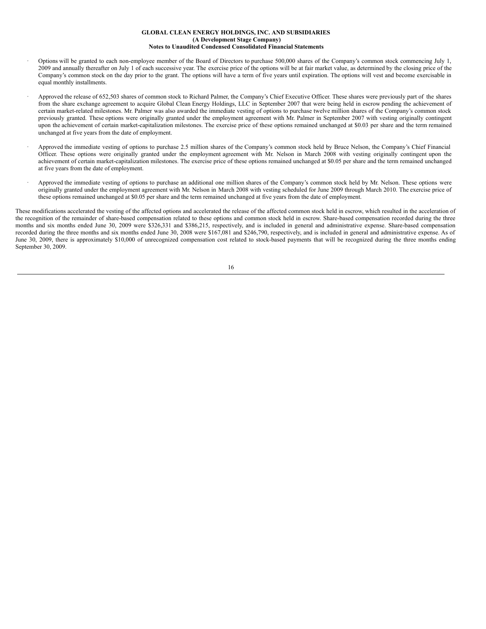- · Options will be granted to each non-employee member of the Board of Directors to purchase 500,000 shares of the Company's common stock commencing July 1, 2009 and annually thereafter on July 1 of each successive year. The exercise price of the options will be at fair market value, as determined by the closing price of the Company's common stock on the day prior to the grant. The options will have a term of five years until expiration. The options will vest and become exercisable in equal monthly installments.
- Approved the release of 652,503 shares of common stock to Richard Palmer, the Company's Chief Executive Officer. These shares were previously part of the shares from the share exchange agreement to acquire Global Clean Energy Holdings, LLC in September 2007 that were being held in escrow pending the achievement of certain market-related milestones. Mr. Palmer was also awarded the immediate vesting of options to purchase twelve million shares of the Company's common stock previously granted. These options were originally granted under the employment agreement with Mr. Palmer in September 2007 with vesting originally contingent upon the achievement of certain market-capitalization milestones. The exercise price of these options remained unchanged at \$0.03 per share and the term remained unchanged at five years from the date of employment.
- · Approved the immediate vesting of options to purchase 2.5 million shares of the Company's common stock held by Bruce Nelson, the Company's Chief Financial Officer. These options were originally granted under the employment agreement with Mr. Nelson in March 2008 with vesting originally contingent upon the achievement of certain market-capitalization milestones. The exercise price of these options remained unchanged at \$0.05 per share and the term remained unchanged at five years from the date of employment.
- Approved the immediate vesting of options to purchase an additional one million shares of the Company's common stock held by Mr. Nelson. These options were originally granted under the employment agreement with Mr. Nelson in March 2008 with vesting scheduled for June 2009 through March 2010. The exercise price of these options remained unchanged at \$0.05 per share and the term remained unchanged at five years from the date of employment.

These modifications accelerated the vesting of the affected options and accelerated the release of the affected common stock held in escrow, which resulted in the acceleration of the recognition of the remainder of share-based compensation related to these options and common stock held in escrow. Share-based compensation recorded during the three months and six months ended June 30, 2009 were \$326,331 and \$386,215, respectively, and is included in general and administrative expense. Share-based compensation recorded during the three months and six months ended June 30, 2008 were \$167,081 and \$246,790, respectively, and is included in general and administrative expense. As of June 30, 2009, there is approximately \$10,000 of unrecognized compensation cost related to stock-based payments that will be recognized during the three months ending September 30, 2009.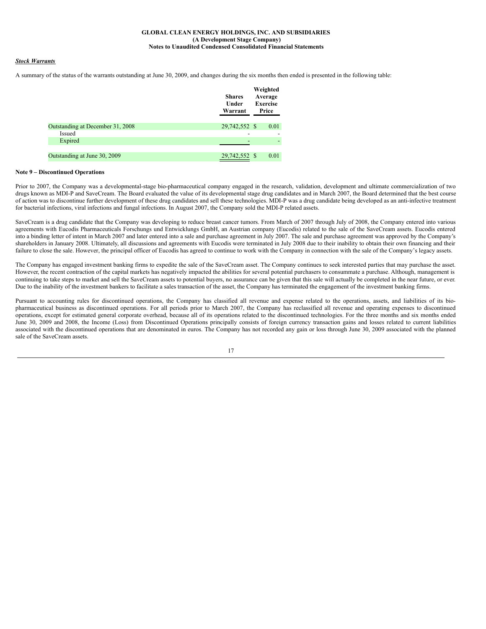# *Stock Warrants*

A summary of the status of the warrants outstanding at June 30, 2009, and changes during the six months then ended is presented in the following table:

|                                  | <b>Shares</b><br>Under<br>Warrant | Weighted<br>Average<br><b>Exercise</b><br>Price |
|----------------------------------|-----------------------------------|-------------------------------------------------|
| Outstanding at December 31, 2008 | 29,742,552 \$                     | 0.01                                            |
| Issued                           |                                   |                                                 |
| Expired                          |                                   |                                                 |
|                                  |                                   |                                                 |
| Outstanding at June 30, 2009     | 29,742,552 \$                     | 0.01                                            |

#### **Note 9 – Discontinued Operations**

Prior to 2007, the Company was a developmental-stage bio-pharmaceutical company engaged in the research, validation, development and ultimate commercialization of two drugs known as MDI-P and SaveCream. The Board evaluated the value of its developmental stage drug candidates and in March 2007, the Board determined that the best course of action was to discontinue further development of these drug candidates and sell these technologies. MDI-P was a drug candidate being developed as an anti-infective treatment for bacterial infections, viral infections and fungal infections. In August 2007, the Company sold the MDI-P related assets.

SaveCream is a drug candidate that the Company was developing to reduce breast cancer tumors. From March of 2007 through July of 2008, the Company entered into various agreements with Eucodis Pharmaceuticals Forschungs und Entwicklungs GmbH, an Austrian company (Eucodis) related to the sale of the SaveCream assets. Eucodis entered into a binding letter of intent in March 2007 and later entered into a sale and purchase agreement in July 2007. The sale and purchase agreement was approved by the Company's shareholders in January 2008. Ultimately, all discussions and agreements with Eucodis were terminated in July 2008 due to their inability to obtain their own financing and their failure to close the sale. However, the principal officer of Eucodis has agreed to continue to work with the Company in connection with the sale of the Company's legacy assets.

The Company has engaged investment banking firms to expedite the sale of the SaveCream asset. The Company continues to seek interested parties that may purchase the asset. However, the recent contraction of the capital markets has negatively impacted the abilities for several potential purchasers to consummate a purchase. Although, management is continuing to take steps to market and sell the SaveCream assets to potential buyers, no assurance can be given that this sale will actually be completed in the near future, or ever. Due to the inability of the investment bankers to facilitate a sales transaction of the asset, the Company has terminated the engagement of the investment banking firms.

Pursuant to accounting rules for discontinued operations, the Company has classified all revenue and expense related to the operations, assets, and liabilities of its biopharmaceutical business as discontinued operations. For all periods prior to March 2007, the Company has reclassified all revenue and operating expenses to discontinued operations, except for estimated general corporate overhead, because all of its operations related to the discontinued technologies. For the three months and six months ended June 30, 2009 and 2008, the Income (Loss) from Discontinued Operations principally consists of foreign currency transaction gains and losses related to current liabilities associated with the discontinued operations that are denominated in euros. The Company has not recorded any gain or loss through June 30, 2009 associated with the planned sale of the SaveCream assets.

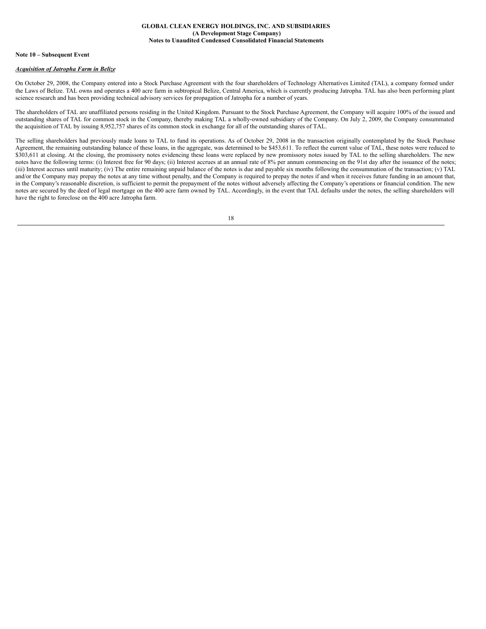#### **Note 10 – Subsequent Event**

#### *Acquisition of Jatropha Farm in Belize*

On October 29, 2008, the Company entered into a Stock Purchase Agreement with the four shareholders of Technology Alternatives Limited (TAL), a company formed under the Laws of Belize. TAL owns and operates a 400 acre farm in subtropical Belize, Central America, which is currently producing Jatropha. TAL has also been performing plant science research and has been providing technical advisory services for propagation of Jatropha for a number of years.

The shareholders of TAL are unaffiliated persons residing in the United Kingdom. Pursuant to the Stock Purchase Agreement, the Company will acquire 100% of the issued and outstanding shares of TAL for common stock in the Company, thereby making TAL a wholly-owned subsidiary of the Company. On July 2, 2009, the Company consummated the acquisition of TAL by issuing 8,952,757 shares of its common stock in exchange for all of the outstanding shares of TAL.

The selling shareholders had previously made loans to TAL to fund its operations. As of October 29, 2008 in the transaction originally contemplated by the Stock Purchase Agreement, the remaining outstanding balance of these loans, in the aggregate, was determined to be \$453,611. To reflect the current value of TAL, these notes were reduced to \$303,611 at closing. At the closing, the promissory notes evidencing these loans were replaced by new promissory notes issued by TAL to the selling shareholders. The new notes have the following terms: (i) Interest free for 90 days; (ii) Interest accrues at an annual rate of 8% per annum commencing on the 91st day after the issuance of the notes; (iii) Interest accrues until maturity; (iv) The entire remaining unpaid balance of the notes is due and payable six months following the consummation of the transaction; (v) TAL and/or the Company may prepay the notes at any time without penalty, and the Company is required to prepay the notes if and when it receives future funding in an amount that, in the Company's reasonable discretion, is sufficient to permit the prepayment of the notes without adversely affecting the Company's operations or financial condition. The new notes are secured by the deed of legal mortgage on the 400 acre farm owned by TAL. Accordingly, in the event that TAL defaults under the notes, the selling shareholders will have the right to foreclose on the 400 acre Jatropha farm.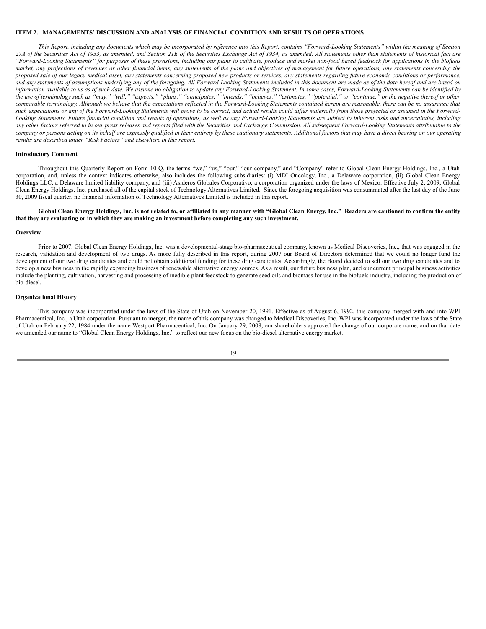#### **ITEM 2. MANAGEMENTS' DISCUSSION AND ANALYSIS OF FINANCIAL CONDITION AND RESULTS OF OPERATIONS**.

This Report, including any documents which may be incorporated by reference into this Report, contains "Forward-Looking Statements" within the meaning of Section 27A of the Securities Act of 1933, as amended, and Section 21E of the Securities Exchange Act of 1934, as amended. All statements other than statements of historical fact are "Forward-Looking Statements" for purposes of these provisions, including our plans to cultivate, produce and market non-food based feedstock for applications in the biofuels market, any projections of revenues or other financial items, any statements of the plans and objectives of management for future operations, any statements concerning the proposed sale of our legacy medical asset, any statements concerning proposed new products or services, any statements regarding future economic conditions or performance, and any statements of assumptions underlying any of the foregoing. All Forward-Looking Statements included in this document are made as of the date hereof and are based on information available to us as of such date. We assume no obligation to update any Forward-Looking Statement. In some cases, Forward-Looking Statements can be identified by the use of terminology such as "may," "will," "expects," "plans," "anticipates," "intends," "believes," "estimates," "potential," or "continue," or the negative thereof or other comparable terminology. Although we believe that the expectations reflected in the Forward-Looking Statements contained herein are reasonable, there can be no assurance that such expectations or any of the Forward-Looking Statements will prove to be correct, and actual results could differ materially from those projected or assumed in the Forward-Looking Statements. Future financial condition and results of operations, as well as any Forward-Looking Statements are subject to inherent risks and uncertainties, including any other factors referred to in our press releases and reports filed with the Securities and Exchange Commission. All subsequent Forward-Looking Statements attributable to the company or persons acting on its behalf are expressly qualified in their entirety by these cautionary statements. Additional factors that may have a direct bearing on our operating *results are described under "Risk Factors" and elsewhere in this report.*

#### **Introductory Comment**

Throughout this Quarterly Report on Form 10-Q, the terms "we," "us," "our," "our company," and "Company" refer to Global Clean Energy Holdings, Inc., a Utah corporation, and, unless the context indicates otherwise, also includes the following subsidiaries: (i) MDI Oncology, Inc., a Delaware corporation, (ii) Global Clean Energy Holdings LLC, a Delaware limited liability company, and (iii) Asideros Globales Corporativo, a corporation organized under the laws of Mexico. Effective July 2, 2009, Global Clean Energy Holdings, Inc. purchased all of the capital stock of Technology Alternatives Limited. Since the foregoing acquisition was consummated after the last day of the June 30, 2009 fiscal quarter, no financial information of Technology Alternatives Limited is included in this report.

#### Global Clean Energy Holdings, Inc. is not related to, or affiliated in any manner with "Global Clean Energy, Inc." Readers are cautioned to confirm the entity **that they are evaluating or in which they are making an investment before completing any such investment.**

#### **Overview**

Prior to 2007, Global Clean Energy Holdings, Inc. was a developmental-stage bio-pharmaceutical company, known as Medical Discoveries, Inc., that was engaged in the research, validation and development of two drugs. As more fully described in this report, during 2007 our Board of Directors determined that we could no longer fund the development of our two drug candidates and could not obtain additional funding for these drug candidates. Accordingly, the Board decided to sell our two drug candidates and to develop a new business in the rapidly expanding business of renewable alternative energy sources. As a result, our future business plan, and our current principal business activities include the planting, cultivation, harvesting and processing of inedible plant feedstock to generate seed oils and biomass for use in the biofuels industry, including the production of bio-diesel.

# **Organizational History**

This company was incorporated under the laws of the State of Utah on November 20, 1991. Effective as of August 6, 1992, this company merged with and into WPI Pharmaceutical, Inc., a Utah corporation. Pursuant to merger, the name of this company was changed to Medical Discoveries, Inc. WPI was incorporated under the laws of the State of Utah on February 22, 1984 under the name Westport Pharmaceutical, Inc. On January 29, 2008, our shareholders approved the change of our corporate name, and on that date we amended our name to "Global Clean Energy Holdings, Inc." to reflect our new focus on the bio-diesel alternative energy market.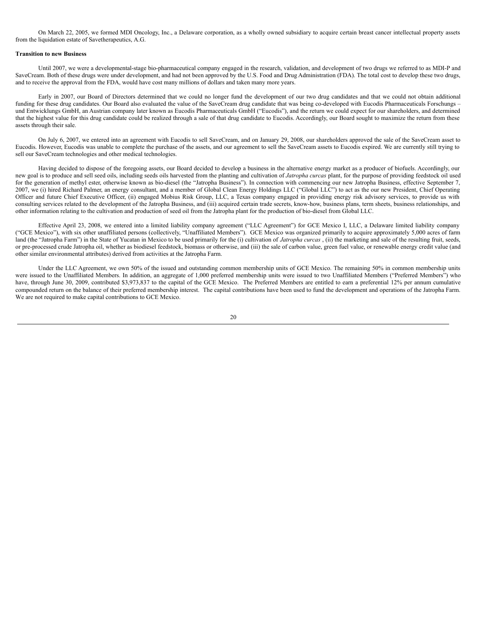On March 22, 2005, we formed MDI Oncology, Inc., a Delaware corporation, as a wholly owned subsidiary to acquire certain breast cancer intellectual property assets from the liquidation estate of Savetherapeutics, A.G.

#### **Transition to new Business**

Until 2007, we were a developmental-stage bio-pharmaceutical company engaged in the research, validation, and development of two drugs we referred to as MDI-P and SaveCream. Both of these drugs were under development, and had not been approved by the U.S. Food and Drug Administration (FDA). The total cost to develop these two drugs, and to receive the approval from the FDA, would have cost many millions of dollars and taken many more years.

Early in 2007, our Board of Directors determined that we could no longer fund the development of our two drug candidates and that we could not obtain additional funding for these drug candidates. Our Board also evaluated the value of the SaveCream drug candidate that was being co-developed with Eucodis Pharmaceuticals Forschungs – und Entwicklungs GmbH, an Austrian company later known as Eucodis Pharmaceuticals GmbH ("Eucodis"), and the return we could expect for our shareholders, and determined that the highest value for this drug candidate could be realized through a sale of that drug candidate to Eucodis. Accordingly, our Board sought to maximize the return from these assets through their sale.

On July 6, 2007, we entered into an agreement with Eucodis to sell SaveCream, and on January 29, 2008, our shareholders approved the sale of the SaveCream asset to Eucodis. However, Eucodis was unable to complete the purchase of the assets, and our agreement to sell the SaveCream assets to Eucodis expired. We are currently still trying to sell our SaveCream technologies and other medical technologies.

Having decided to dispose of the foregoing assets, our Board decided to develop a business in the alternative energy market as a producer of biofuels. Accordingly, our new goal is to produce and sell seed oils, including seeds oils harvested from the planting and cultivation of *Jatropha curcas* plant, for the purpose of providing feedstock oil used for the generation of methyl ester, otherwise known as bio-diesel (the "Jatropha Business"). In connection with commencing our new Jatropha Business, effective September 7, 2007, we (i) hired Richard Palmer, an energy consultant, and a member of Global Clean Energy Holdings LLC ("Global LLC") to act as the our new President, Chief Operating Officer and future Chief Executive Officer, (ii) engaged Mobius Risk Group, LLC, a Texas company engaged in providing energy risk advisory services, to provide us with consulting services related to the development of the Jatropha Business, and (iii) acquired certain trade secrets, know-how, business plans, term sheets, business relationships, and other information relating to the cultivation and production of seed oil from the Jatropha plant for the production of bio-diesel from Global LLC.

Effective April 23, 2008, we entered into a limited liability company agreement ("LLC Agreement") for GCE Mexico I, LLC, a Delaware limited liability company ("GCE Mexico"), with six other unaffiliated persons (collectively, "Unaffiliated Members"). GCE Mexico was organized primarily to acquire approximately 5,000 acres of farm land (the "Jatropha Farm") in the State of Yucatan in Mexico to be used primarily for the (i) cultivation of *Jatropha curcas* , (ii) the marketing and sale of the resulting fruit, seeds, or pre-processed crude Jatropha oil, whether as biodiesel feedstock, biomass or otherwise, and (iii) the sale of carbon value, green fuel value, or renewable energy credit value (and other similar environmental attributes) derived from activities at the Jatropha Farm.

Under the LLC Agreement, we own 50% of the issued and outstanding common membership units of GCE Mexico. The remaining 50% in common membership units were issued to the Unaffiliated Members. In addition, an aggregate of 1,000 preferred membership units were issued to two Unaffiliated Members ("Preferred Members") who have, through June 30, 2009, contributed \$3,973,837 to the capital of the GCE Mexico. The Preferred Members are entitled to earn a preferential 12% per annum cumulative compounded return on the balance of their preferred membership interest. The capital contributions have been used to fund the development and operations of the Jatropha Farm. We are not required to make capital contributions to GCE Mexico.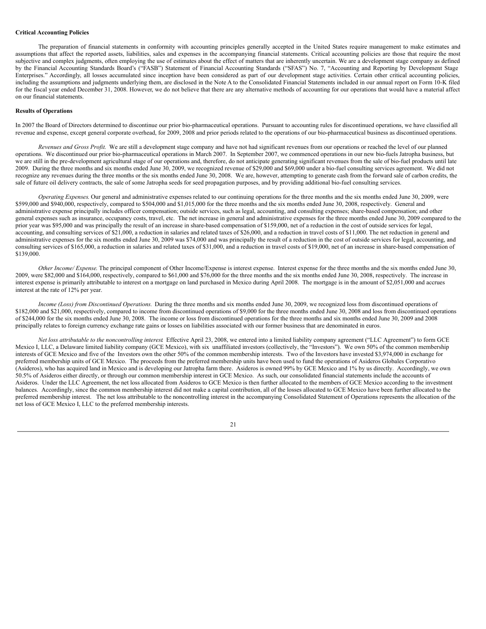#### **Critical Accounting Policies**

The preparation of financial statements in conformity with accounting principles generally accepted in the United States require management to make estimates and assumptions that affect the reported assets, liabilities, sales and expenses in the accompanying financial statements. Critical accounting policies are those that require the most subjective and complex judgments, often employing the use of estimates about the effect of matters that are inherently uncertain. We are a development stage company as defined by the Financial Accounting Standards Board's ("FASB") Statement of Financial Accounting Standards ("SFAS") No. 7, "Accounting and Reporting by Development Stage Enterprises." Accordingly, all losses accumulated since inception have been considered as part of our development stage activities. Certain other critical accounting policies, including the assumptions and judgments underlying them, are disclosed in the Note A to the Consolidated Financial Statements included in our annual report on Form 10-K filed for the fiscal year ended December 31, 2008. However, we do not believe that there are any alternative methods of accounting for our operations that would have a material affect on our financial statements.

#### **Results of Operations**

In 2007 the Board of Directors determined to discontinue our prior bio-pharmaceutical operations. Pursuant to accounting rules for discontinued operations, we have classified all revenue and expense, except general corporate overhead, for 2009, 2008 and prior periods related to the operations of our bio-pharmaceutical business as discontinued operations.

*Revenues and Gross Profit*. We are still a development stage company and have not had significant revenues from our operations or reached the level of our planned operations. We discontinued our prior bio-pharmaceutical operations in March 2007. In September 2007, we commenced operations in our new bio-fuels Jatropha business, but we are still in the pre-development agricultural stage of our operations and, therefore, do not anticipate generating significant revenues from the sale of bio-fuel products until late 2009. During the three months and six months ended June 30, 2009, we recognized revenue of \$29,000 and \$69,000 under a bio-fuel consulting services agreement. We did not recognize any revenues during the three months or the six months ended June 30, 2008. We are, however, attempting to generate cash from the forward sale of carbon credits, the sale of future oil delivery contracts, the sale of some Jatropha seeds for seed propagation purposes, and by providing additional bio-fuel consulting services.

*Operating Expenses*. Our general and administrative expenses related to our continuing operations for the three months and the six months ended June 30, 2009, were \$599,000 and \$940,000, respectively, compared to \$504,000 and \$1,015,000 for the three months and the six months ended June 30, 2008, respectively. General and administrative expense principally includes officer compensation; outside services, such as legal, accounting, and consulting expenses; share-based compensation; and other general expenses such as insurance, occupancy costs, travel, etc. The net increase in general and administrative expenses for the three months ended June 30, 2009 compared to the prior year was \$95,000 and was principally the result of an increase in share-based compensation of \$159,000, net of a reduction in the cost of outside services for legal, accounting, and consulting services of \$21,000, a reduction in salaries and related taxes of \$26,000, and a reduction in travel costs of \$11,000. The net reduction in general and administrative expenses for the six months ended June 30, 2009 was \$74,000 and was principally the result of a reduction in the cost of outside services for legal, accounting, and consulting services of \$165,000, a reduction in salaries and related taxes of \$31,000, and a reduction in travel costs of \$19,000, net of an increase in share-based compensation of \$139,000.

*Other Income/ Expense*. The principal component of Other Income/Expense is interest expense. Interest expense for the three months and the six months ended June 30, 2009, were \$82,000 and \$164,000, respectively, compared to \$61,000 and \$76,000 for the three months and the six months ended June 30, 2008, respectively. The increase in interest expense is primarily attributable to interest on a mortgage on land purchased in Mexico during April 2008. The mortgage is in the amount of \$2,051,000 and accrues interest at the rate of 12% per year.

*Income (Loss) from Discontinued Operations.* During the three months and six months ended June 30, 2009, we recognized loss from discontinued operations of \$182,000 and \$21,000, respectively, compared to income from discontinued operations of \$9,000 for the three months ended June 30, 2008 and loss from discontinued operations of \$244,000 for the six months ended June 30, 2008. The income or loss from discontinued operations for the three months and six months ended June 30, 2009 and 2008 principally relates to foreign currency exchange rate gains or losses on liabilities associated with our former business that are denominated in euros.

*Net loss attributable to the noncontrolling interest*. Effective April 23, 2008, we entered into a limited liability company agreement ("LLC Agreement") to form GCE Mexico I, LLC, a Delaware limited liability company (GCE Mexico), with six unaffiliated investors (collectively, the "Investors"). We own 50% of the common membership interests of GCE Mexico and five of the Investors own the other 50% of the common membership interests. Two of the Investors have invested \$3,974,000 in exchange for preferred membership units of GCE Mexico. The proceeds from the preferred membership units have been used to fund the operations of Asideros Globales Corporativo (Asideros), who has acquired land in Mexico and is developing our Jatropha farm there. Asideros is owned 99% by GCE Mexico and 1% by us directly. Accordingly, we own 50.5% of Asideros either directly, or through our common membership interest in GCE Mexico. As such, our consolidated financial statements include the accounts of Asideros. Under the LLC Agreement, the net loss allocated from Asideros to GCE Mexico is then further allocated to the members of GCE Mexico according to the investment balances. Accordingly, since the common membership interest did not make a capital contribution, all of the losses allocated to GCE Mexico have been further allocated to the preferred membership interest. The net loss attributable to the noncontrolling interest in the accompanying Consolidated Statement of Operations represents the allocation of the net loss of GCE Mexico I, LLC to the preferred membership interests.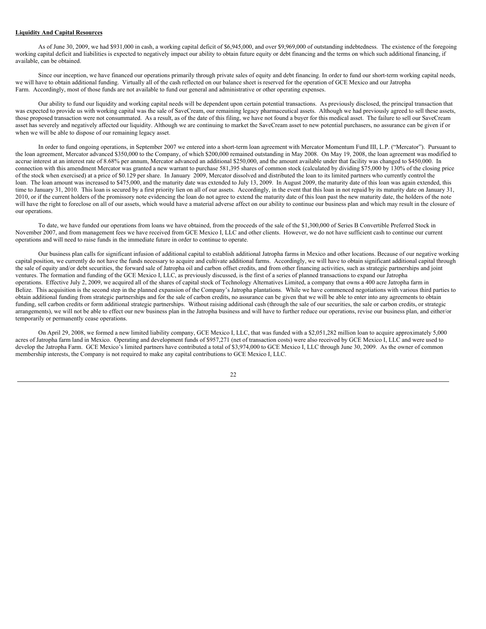#### **Liquidity And Capital Resources**

As of June 30, 2009, we had \$931,000 in cash, a working capital deficit of \$6,945,000, and over \$9,969,000 of outstanding indebtedness. The existence of the foregoing working capital deficit and liabilities is expected to negatively impact our ability to obtain future equity or debt financing and the terms on which such additional financing, if available, can be obtained.

Since our inception, we have financed our operations primarily through private sales of equity and debt financing. In order to fund our short-term working capital needs, we will have to obtain additional funding. Virtually all of the cash reflected on our balance sheet is reserved for the operation of GCE Mexico and our Jatropha Farm. Accordingly, most of those funds are not available to fund our general and administrative or other operating expenses.

Our ability to fund our liquidity and working capital needs will be dependent upon certain potential transactions. As previously disclosed, the principal transaction that was expected to provide us with working capital was the sale of SaveCream, our remaining legacy pharmaceutical assets. Although we had previously agreed to sell these assets, those proposed transaction were not consummated. As a result, as of the date of this filing, we have not found a buyer for this medical asset. The failure to sell our SaveCream asset has severely and negatively affected our liquidity. Although we are continuing to market the SaveCream asset to new potential purchasers, no assurance can be given if or when we will be able to dispose of our remaining legacy asset.

In order to fund ongoing operations, in September 2007 we entered into a short-term loan agreement with Mercator Momentum Fund III, L.P. ("Mercator"). Pursuant to the loan agreement, Mercator advanced \$350,000 to the Company, of which \$200,000 remained outstanding in May 2008. On May 19, 2008, the loan agreement was modified to accrue interest at an interest rate of 8.68% per annum, Mercator advanced an additional \$250,000, and the amount available under that facility was changed to \$450,000. In connection with this amendment Mercator was granted a new warrant to purchase 581,395 shares of common stock (calculated by dividing \$75,000 by 130% of the closing price of the stock when exercised) at a price of \$0.129 per share. In January 2009, Mercator dissolved and distributed the loan to its limited partners who currently control the loan. The loan amount was increased to \$475,000, and the maturity date was extended to July 13, 2009. In August 2009, the maturity date of this loan was again extended, this time to January 31, 2010. This loan is secured by a first priority lien on all of our assets. Accordingly, in the event that this loan in not repaid by its maturity date on January 31, 2010, or if the current holders of the promissory note evidencing the loan do not agree to extend the maturity date of this loan past the new maturity date, the holders of the note will have the right to foreclose on all of our assets, which would have a material adverse affect on our ability to continue our business plan and which may result in the closure of our operations.

To date, we have funded our operations from loans we have obtained, from the proceeds of the sale of the \$1,300,000 of Series B Convertible Preferred Stock in November 2007, and from management fees we have received from GCE Mexico I, LLC and other clients. However, we do not have sufficient cash to continue our current operations and will need to raise funds in the immediate future in order to continue to operate.

Our business plan calls for significant infusion of additional capital to establish additional Jatropha farms in Mexico and other locations. Because of our negative working capital position, we currently do not have the funds necessary to acquire and cultivate additional farms. Accordingly, we will have to obtain significant additional capital through the sale of equity and/or debt securities, the forward sale of Jatropha oil and carbon offset credits, and from other financing activities, such as strategic partnerships and joint ventures. The formation and funding of the GCE Mexico I, LLC, as previously discussed, is the first of a series of planned transactions to expand our Jatropha operations. Effective July 2, 2009, we acquired all of the shares of capital stock of Technology Alternatives Limited, a company that owns a 400 acre Jatropha farm in Belize. This acquisition is the second step in the planned expansion of the Company's Jatropha plantations. While we have commenced negotiations with various third parties to obtain additional funding from strategic partnerships and for the sale of carbon credits, no assurance can be given that we will be able to enter into any agreements to obtain funding, sell carbon credits or form additional strategic partnerships. Without raising additional cash (through the sale of our securities, the sale or carbon credits, or strategic arrangements), we will not be able to effect our new business plan in the Jatropha business and will have to further reduce our operations, revise our business plan, and either/or temporarily or permanently cease operations.

On April 29, 2008, we formed a new limited liability company, GCE Mexico I, LLC, that was funded with a \$2,051,282 million loan to acquire approximately 5,000 acres of Jatropha farm land in Mexico. Operating and development funds of \$957,271 (net of transaction costs) were also received by GCE Mexico I, LLC and were used to develop the Jatropha Farm. GCE Mexico's limited partners have contributed a total of \$3,974,000 to GCE Mexico I, LLC through June 30, 2009. As the owner of common membership interests, the Company is not required to make any capital contributions to GCE Mexico I, LLC.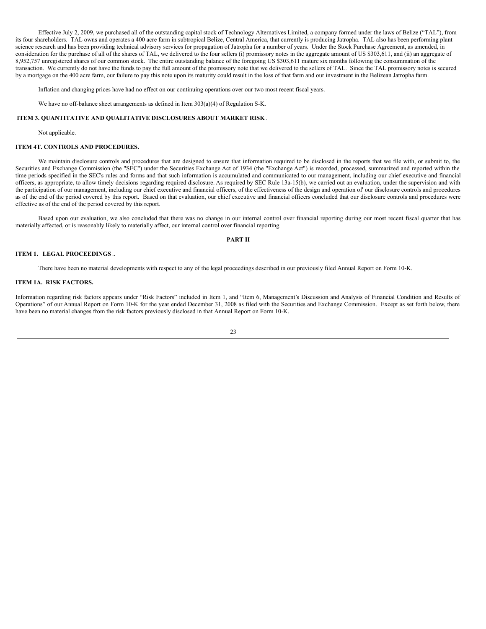Effective July 2, 2009, we purchased all of the outstanding capital stock of Technology Alternatives Limited, a company formed under the laws of Belize ("TAL"), from its four shareholders. TAL owns and operates a 400 acre farm in subtropical Belize, Central America, that currently is producing Jatropha. TAL also has been performing plant science research and has been providing technical advisory services for propagation of Jatropha for a number of years. Under the Stock Purchase Agreement, as amended, in consideration for the purchase of all of the shares of TAL, we delivered to the four sellers (i) promissory notes in the aggregate amount of US \$303,611, and (ii) an aggregate of 8,952,757 unregistered shares of our common stock. The entire outstanding balance of the foregoing US \$303,611 mature six months following the consummation of the transaction. We currently do not have the funds to pay the full amount of the promissory note that we delivered to the sellers of TAL. Since the TAL promissory notes is secured by a mortgage on the 400 acre farm, our failure to pay this note upon its maturity could result in the loss of that farm and our investment in the Belizean Jatropha farm.

Inflation and changing prices have had no effect on our continuing operations over our two most recent fiscal years.

We have no off-balance sheet arrangements as defined in Item 303(a)(4) of Regulation S-K.

# **ITEM 3. QUANTITATIVE AND QUALITATIVE DISCLOSURES ABOUT MARKET RISK**.

Not applicable.

#### **ITEM 4T. CONTROLS AND PROCEDURES.**

We maintain disclosure controls and procedures that are designed to ensure that information required to be disclosed in the reports that we file with, or submit to, the Securities and Exchange Commission (the "SEC") under the Securities Exchange Act of 1934 (the "Exchange Act") is recorded, processed, summarized and reported within the time periods specified in the SEC's rules and forms and that such information is accumulated and communicated to our management, including our chief executive and financial officers, as appropriate, to allow timely decisions regarding required disclosure. As required by SEC Rule 13a-15(b), we carried out an evaluation, under the supervision and with the participation of our management, including our chief executive and financial officers, of the effectiveness of the design and operation of our disclosure controls and procedures as of the end of the period covered by this report. Based on that evaluation, our chief executive and financial officers concluded that our disclosure controls and procedures were effective as of the end of the period covered by this report.

Based upon our evaluation, we also concluded that there was no change in our internal control over financial reporting during our most recent fiscal quarter that has materially affected, or is reasonably likely to materially affect, our internal control over financial reporting.

# **PART II**

# **ITEM 1. LEGAL PROCEEDINGS** ..

There have been no material developments with respect to any of the legal proceedings described in our previously filed Annual Report on Form 10-K.

#### **ITEM 1A. RISK FACTORS.**

Information regarding risk factors appears under "Risk Factors" included in Item 1, and "Item 6, Management's Discussion and Analysis of Financial Condition and Results of Operations" of our Annual Report on Form 10-K for the year ended December 31, 2008 as filed with the Securities and Exchange Commission. Except as set forth below, there have been no material changes from the risk factors previously disclosed in that Annual Report on Form 10-K.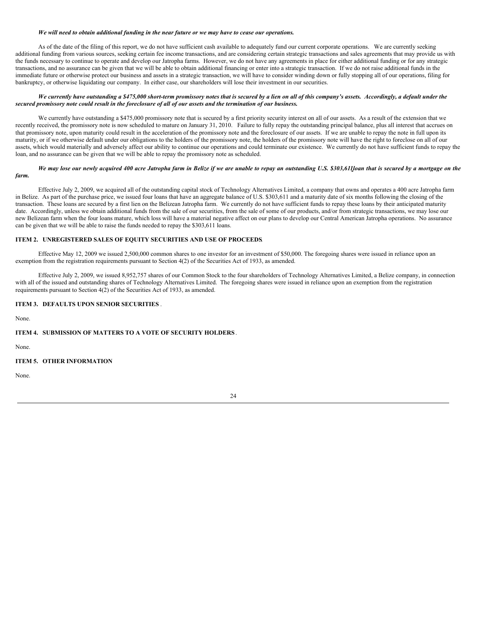#### We will need to obtain additional funding in the near future or we may have to cease our operations.

As of the date of the filing of this report, we do not have sufficient cash available to adequately fund our current corporate operations. We are currently seeking additional funding from various sources, seeking certain fee income transactions, and are considering certain strategic transactions and sales agreements that may provide us with the funds necessary to continue to operate and develop our Jatropha farms. However, we do not have any agreements in place for either additional funding or for any strategic transactions, and no assurance can be given that we will be able to obtain additional financing or enter into a strategic transaction. If we do not raise additional funds in the immediate future or otherwise protect our business and assets in a strategic transaction, we will have to consider winding down or fully stopping all of our operations, filing for bankruptcy, or otherwise liquidating our company. In either case, our shareholders will lose their investment in our securities.

### We currently have outstanding a \$475,000 short-term promissory notes that is secured by a lien on all of this company's assets. Accordingly, a default under the secured promissory note could result in the foreclosure of all of our assets and the termination of our business.

We currently have outstanding a \$475,000 promissory note that is secured by a first priority security interest on all of our assets. As a result of the extension that we recently received, the promissory note is now scheduled to mature on January 31, 2010. Failure to fully repay the outstanding principal balance, plus all interest that accrues on that promissory note, upon maturity could result in the acceleration of the promissory note and the foreclosure of our assets. If we are unable to repay the note in full upon its maturity, or if we otherwise default under our obligations to the holders of the promissory note, the holders of the promissory note will have the right to foreclose on all of our assets, which would materially and adversely affect our ability to continue our operations and could terminate our existence. We currently do not have sufficient funds to repay the loan, and no assurance can be given that we will be able to repay the promissory note as scheduled.

### We may lose our newly acquired 400 acre Jatropha farm in Belize if we are unable to repay an outstanding U.S. \$303,611loan that is secured by a mortgage on the *farm.*

Effective July 2, 2009, we acquired all of the outstanding capital stock of Technology Alternatives Limited, a company that owns and operates a 400 acre Jatropha farm in Belize. As part of the purchase price, we issued four loans that have an aggregate balance of U.S. \$303,611 and a maturity date of six months following the closing of the transaction. These loans are secured by a first lien on the Belizean Jatropha farm. We currently do not have sufficient funds to repay these loans by their anticipated maturity date. Accordingly, unless we obtain additional funds from the sale of our securities, from the sale of some of our products, and/or from strategic transactions, we may lose our new Belizean farm when the four loans mature, which loss will have a material negative affect on our plans to develop our Central American Jatropha operations. No assurance can be given that we will be able to raise the funds needed to repay the \$303,611 loans.

# **ITEM 2. UNREGISTERED SALES OF EQUITY SECURITIES AND USE OF PROCEEDS**.

Effective May 12, 2009 we issued 2,500,000 common shares to one investor for an investment of \$50,000. The foregoing shares were issued in reliance upon an exemption from the registration requirements pursuant to Section 4(2) of the Securities Act of 1933, as amended.

Effective July 2, 2009, we issued 8,952,757 shares of our Common Stock to the four shareholders of Technology Alternatives Limited, a Belize company, in connection with all of the issued and outstanding shares of Technology Alternatives Limited. The foregoing shares were issued in reliance upon an exemption from the registration requirements pursuant to Section 4(2) of the Securities Act of 1933, as amended.

# **ITEM 3. DEFAULTS UPON SENIOR SECURITIES** .

None.

# **ITEM 4. SUBMISSION OF MATTERS TO A VOTE OF SECURITY HOLDERS** .

None.

# **ITEM 5. OTHER INFORMATION**

None.

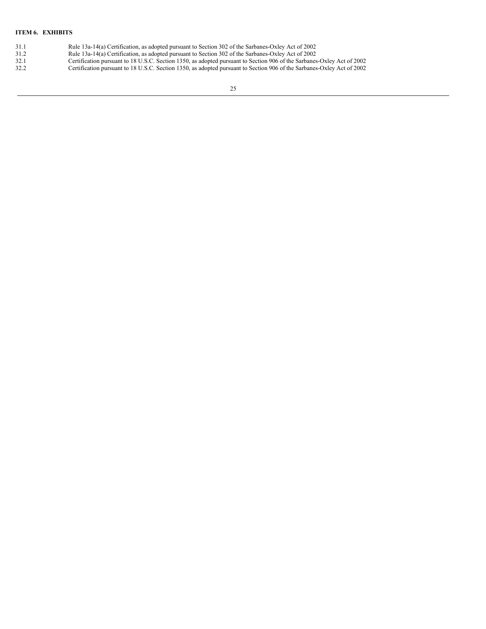# **ITEM 6. EXHIBITS**

- 31.1 Rule 13a-14(a) Certification, as adopted pursuant to Section 302 of the Sarbanes-Oxley Act of 2002
- 31.2 Rule 13a-14(a) Certification, as adopted pursuant to Section 302 of the Sarbanes-Oxley Act of 2002
- 32.1 Certification pursuant to 18 U.S.C. Section 1350, as adopted pursuant to Section 906 of the Sarbanes-Oxley Act of 2002
- 32.2 Certification pursuant to 18 U.S.C. Section 1350, as adopted pursuant to Section 906 of the Sarbanes-Oxley Act of 2002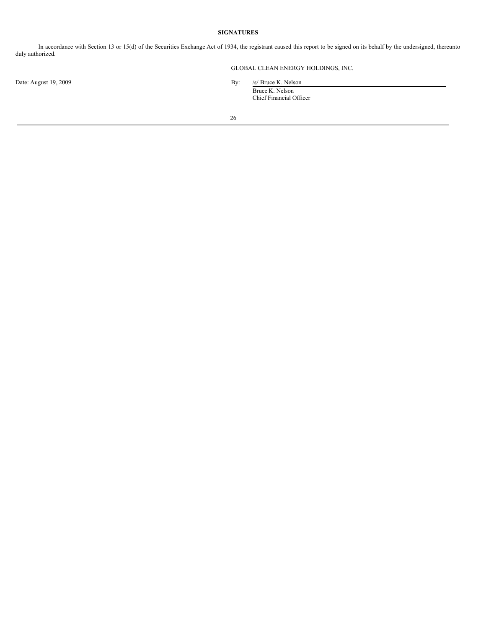# **SIGNATURES**

In accordance with Section 13 or 15(d) of the Securities Exchange Act of 1934, the registrant caused this report to be signed on its behalf by the undersigned, thereunto duly authorized.

GLOBAL CLEAN ENERGY HOLDINGS, INC.

Date: August 19, 2009 By: /s/ Bruce K. Nelson Bruce K. Nelson

Chief Financial Officer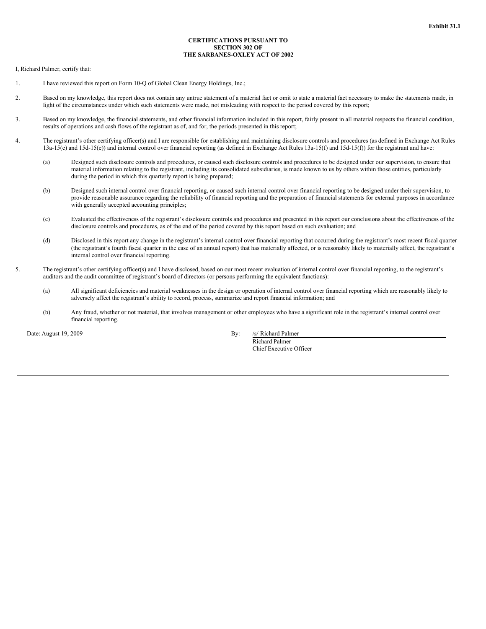#### **CERTIFICATIONS PURSUANT TO SECTION 302 OF THE SARBANES-OXLEY ACT OF 2002**

I, Richard Palmer, certify that:

- 1. I have reviewed this report on Form 10-Q of Global Clean Energy Holdings, Inc.;
- 2. Based on my knowledge, this report does not contain any untrue statement of a material fact or omit to state a material fact necessary to make the statements made, in light of the circumstances under which such statements were made, not misleading with respect to the period covered by this report;
- 3. Based on my knowledge, the financial statements, and other financial information included in this report, fairly present in all material respects the financial condition, results of operations and cash flows of the registrant as of, and for, the periods presented in this report;
- 4. The registrant's other certifying officer(s) and I are responsible for establishing and maintaining disclosure controls and procedures (as defined in Exchange Act Rules 13a-15(e) and 15d-15(e)) and internal control over financial reporting (as defined in Exchange Act Rules 13a-15(f) and 15d-15(f)) for the registrant and have:
	- (a) Designed such disclosure controls and procedures, or caused such disclosure controls and procedures to be designed under our supervision, to ensure that material information relating to the registrant, including its consolidated subsidiaries, is made known to us by others within those entities, particularly during the period in which this quarterly report is being prepared;
	- (b) Designed such internal control over financial reporting, or caused such internal control over financial reporting to be designed under their supervision, to provide reasonable assurance regarding the reliability of financial reporting and the preparation of financial statements for external purposes in accordance with generally accepted accounting principles;
	- (c) Evaluated the effectiveness of the registrant's disclosure controls and procedures and presented in this report our conclusions about the effectiveness of the disclosure controls and procedures, as of the end of the period covered by this report based on such evaluation; and
	- (d) Disclosed in this report any change in the registrant's internal control over financial reporting that occurred during the registrant's most recent fiscal quarter (the registrant's fourth fiscal quarter in the case of an annual report) that has materially affected, or is reasonably likely to materially affect, the registrant's internal control over financial reporting.
- 5. The registrant's other certifying officer(s) and I have disclosed, based on our most recent evaluation of internal control over financial reporting, to the registrant's auditors and the audit committee of registrant's board of directors (or persons performing the equivalent functions):
	- (a) All significant deficiencies and material weaknesses in the design or operation of internal control over financial reporting which are reasonably likely to adversely affect the registrant's ability to record, process, summarize and report financial information; and
	- (b) Any fraud, whether or not material, that involves management or other employees who have a significant role in the registrant's internal control over financial reporting.

Date: August 19, 2009 By: /s/ Richard Palmer

Richard Palmer Chief Executive Officer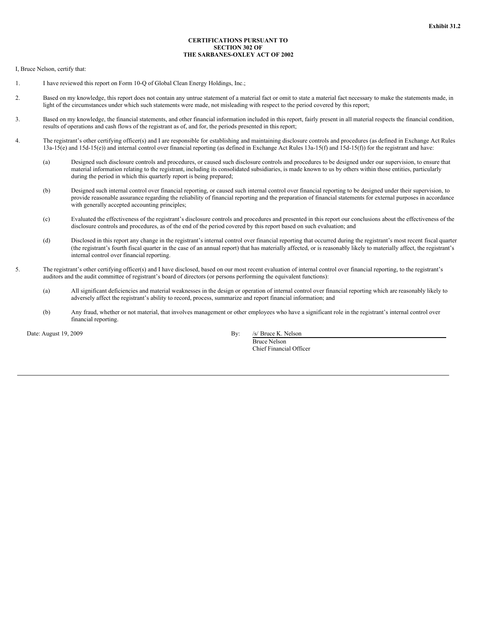#### **CERTIFICATIONS PURSUANT TO SECTION 302 OF THE SARBANES-OXLEY ACT OF 2002**

I, Bruce Nelson, certify that:

- 1. I have reviewed this report on Form 10-Q of Global Clean Energy Holdings, Inc.;
- 2. Based on my knowledge, this report does not contain any untrue statement of a material fact or omit to state a material fact necessary to make the statements made, in light of the circumstances under which such statements were made, not misleading with respect to the period covered by this report;
- 3. Based on my knowledge, the financial statements, and other financial information included in this report, fairly present in all material respects the financial condition, results of operations and cash flows of the registrant as of, and for, the periods presented in this report;
- 4. The registrant's other certifying officer(s) and I are responsible for establishing and maintaining disclosure controls and procedures (as defined in Exchange Act Rules 13a-15(e) and 15d-15(e)) and internal control over financial reporting (as defined in Exchange Act Rules 13a-15(f) and 15d-15(f)) for the registrant and have:
	- (a) Designed such disclosure controls and procedures, or caused such disclosure controls and procedures to be designed under our supervision, to ensure that material information relating to the registrant, including its consolidated subsidiaries, is made known to us by others within those entities, particularly during the period in which this quarterly report is being prepared;
	- (b) Designed such internal control over financial reporting, or caused such internal control over financial reporting to be designed under their supervision, to provide reasonable assurance regarding the reliability of financial reporting and the preparation of financial statements for external purposes in accordance with generally accepted accounting principles;
	- (c) Evaluated the effectiveness of the registrant's disclosure controls and procedures and presented in this report our conclusions about the effectiveness of the disclosure controls and procedures, as of the end of the period covered by this report based on such evaluation; and
	- (d) Disclosed in this report any change in the registrant's internal control over financial reporting that occurred during the registrant's most recent fiscal quarter (the registrant's fourth fiscal quarter in the case of an annual report) that has materially affected, or is reasonably likely to materially affect, the registrant's internal control over financial reporting.
- 5. The registrant's other certifying officer(s) and I have disclosed, based on our most recent evaluation of internal control over financial reporting, to the registrant's auditors and the audit committee of registrant's board of directors (or persons performing the equivalent functions):
	- (a) All significant deficiencies and material weaknesses in the design or operation of internal control over financial reporting which are reasonably likely to adversely affect the registrant's ability to record, process, summarize and report financial information; and
	- (b) Any fraud, whether or not material, that involves management or other employees who have a significant role in the registrant's internal control over financial reporting.

Date: August 19, 2009 By: /s/ Bruce K. Nelson

Bruce Nelson Chief Financial Officer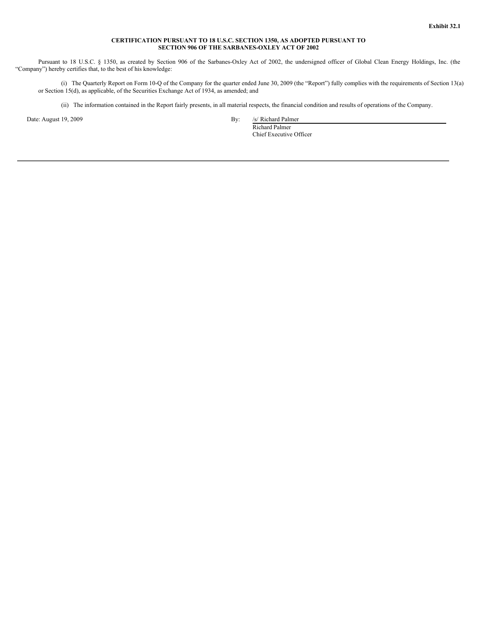# **CERTIFICATION PURSUANT TO 18 U.S.C. SECTION 1350, AS ADOPTED PURSUANT TO SECTION 906 OF THE SARBANES-OXLEY ACT OF 2002**

Pursuant to 18 U.S.C. § 1350, as created by Section 906 of the Sarbanes-Oxley Act of 2002, the undersigned officer of Global Clean Energy Holdings, Inc. (the "Company") hereby certifies that, to the best of his knowledge:

(i) The Quarterly Report on Form 10-Q of the Company for the quarter ended June 30, 2009 (the "Report") fully complies with the requirements of Section 13(a) or Section 15(d), as applicable, of the Securities Exchange Act of 1934, as amended; and

(ii) The information contained in the Report fairly presents, in all material respects, the financial condition and results of operations of the Company.

Date: August 19, 2009 By: /s/ Richard Palmer

Richard Palmer Chief Executive Officer